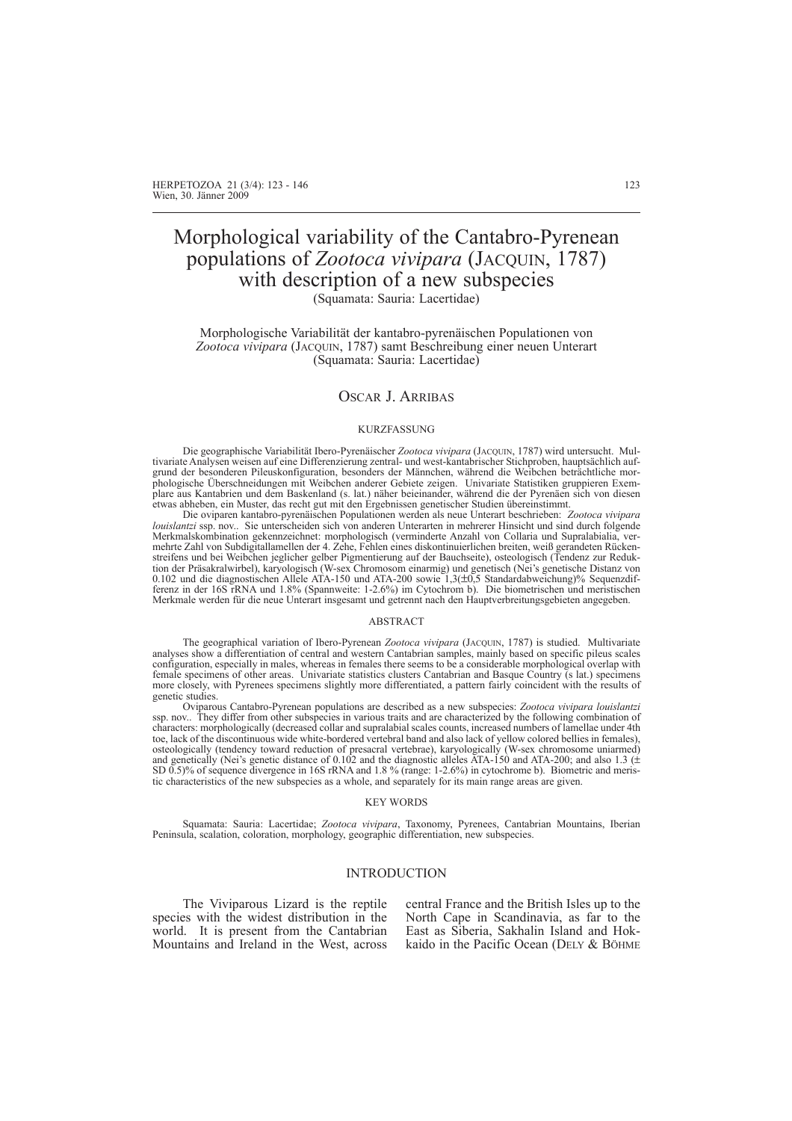# Morphological variability of the Cantabro-Pyrenean populations of *Zootoca vivipara* (JACQUIN, 1787) with description of a new subspecies

(Squamata: Sauria: Lacertidae)

Morphologische Variabilität der kantabro-pyrenäischen Populationen von *Zootoca vivipara* (JACQUIN, 1787) samt Beschreibung einer neuen Unterart (Squamata: Sauria: Lacertidae)

# OSCAR J. ARRIBAS

#### KURZFASSUNG

Die geographische Variabilität Ibero-Pyrenäischer *Zootoca vivipara* (JACQUIN, 1787) wird untersucht. Multivariate Analysen weisen auf eine Differenzierung zentral- und west-kantabrischer Stichproben, hauptsächlich aufgrund der besonderen Pileuskonfiguration, besonders der Männchen, während die Weibchen beträchtliche morphologische Überschneidungen mit Weibchen anderer Gebiete zeigen. Univariate Statistiken gruppieren Exemplare aus Kantabrien und dem Baskenland (s. lat.) näher beieinander, während die der Pyrenäen sich von diesen etwas abheben, ein Muster, das recht gut mit den Ergebnissen genetischer Studien übereinstimmt.

Die oviparen kantabro-pyrenäischen Populationen werden als neue Unterart beschrieben: *Zootoca vivipara louislantzi* ssp. nov.. Sie unterscheiden sich von anderen Unterarten in mehrerer Hinsicht und sind durch folgende Merkmalskombination gekennzeichnet: morphologisch (verminderte Anzahl von Collaria und Supralabialia, vermehrte Zahl von Subdigitallamellen der 4. Zehe, Fehlen eines diskontinuierlichen breiten, weiß gerandeten Rückenstreifens und bei Weibchen jeglicher gelber Pigmentierung auf der Bauchseite), osteologisch (Tendenz zur Reduktion der Präsakralwirbel), karyologisch (W-sex Chromosom einarmig) und genetisch (Nei's genetische Distanz von 0.102 und die diagnostischen Allele ATA-150 und ATA-200 sowie 1,3(±0,5 Standardabweichung)% Sequenzdif-ferenz in der 16S rRNA und 1.8% (Spannweite: 1-2.6%) im Cytochrom b). Die biometrischen und meristischen Merkmale werden für die neue Unterart insgesamt und getrennt nach den Hauptverbreitungsgebieten angegeben.

#### ABSTRACT

The geographical variation of Ibero-Pyrenean *Zootoca vivipara* (JACQUIN, 1787) is studied. Multivariate analyses show a differentiation of central and western Cantabrian samples, mainly based on specific pileus scales configuration, especially in males, whereas in females there seems to be a considerable morphological overlap with female specimens of other areas. Univariate statistics clusters Cantabrian and Basque Country (s lat.) specimens more closely, with Pyrenees specimens slightly more differentiated, a pattern fairly coincident with the results of genetic studies.

Oviparous Cantabro-Pyrenean populations are described as a new subspecies: *Zootoca vivipara louislantzi* ssp. nov.. They differ from other subspecies in various traits and are characterized by the following combination of characters: morphologically (decreased collar and supralabial scales counts, increased numbers of lamellae under 4th toe, lack of the discontinuous wide white-bordered vertebral band and also lack of yellow colored bellies in females), osteologically (tendency toward reduction of presacral vertebrae), karyologically (W-sex chromosome uniarmed) and genetically (Nei's genetic distance of 0.102 and the diagnostic alleles ATA-150 and ATA-200; and also 1.3 (± SD 0.5)% of sequence divergence in 16S rRNA and 1.8 % (range: 1-2.6%) in cytochrome b). Biometric and meristic characteristics of the new subspecies as a whole, and separately for its main range areas are given.

#### KEY WORDS

Squamata: Sauria: Lacertidae; *Zootoca vivipara*, Taxonomy, Pyrenees, Cantabrian Mountains, Iberian Peninsula, scalation, coloration, morphology, geographic differentiation, new subspecies.

#### INTRODUCTION

The Viviparous Lizard is the reptile species with the widest distribution in the world. It is present from the Cantabrian Mountains and Ireland in the West, across central France and the British Isles up to the North Cape in Scandinavia, as far to the East as Siberia, Sakhalin Island and Hokkaido in the Pacific Ocean (DELY & BÖHME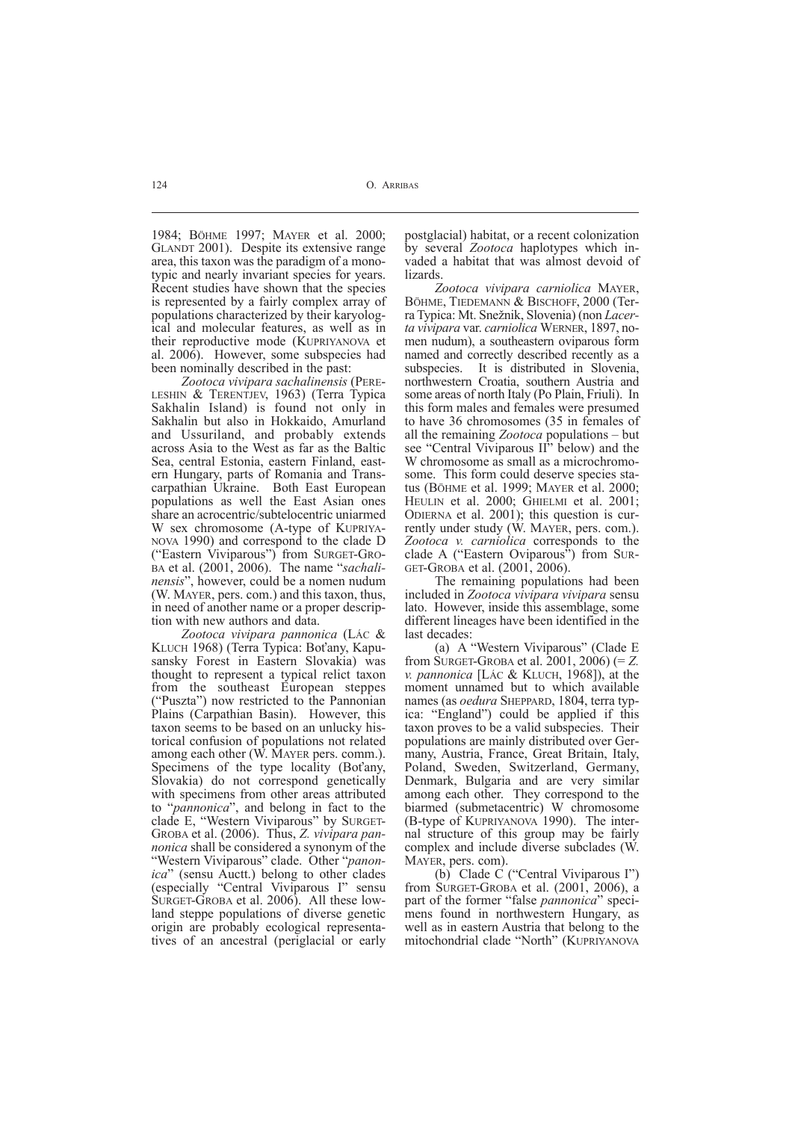1984; BÖHME 1997; MAYER et al. 2000; GLANDT 2001). Despite its extensive range area, this taxon was the paradigm of a monotypic and nearly invariant species for years. Recent studies have shown that the species is represented by a fairly complex array of populations characterized by their karyological and molecular features, as well as in their reproductive mode (KUPRIYANOVA et al. 2006). However, some subspecies had been nominally described in the past:

*Zootoca vivipara sachalinensis* (PERE-LESHIN & TERENTJEV, 1963) (Terra Typica Sakhalin Island) is found not only in Sakhalin but also in Hokkaido, Amurland and Ussuriland, and probably extends across Asia to the West as far as the Baltic Sea, central Estonia, eastern Finland, eastern Hungary, parts of Romania and Transcarpathian Ukraine. Both East European populations as well the East Asian ones share an acrocentric/subtelocentric uniarmed W sex chromosome (A-type of KUPRIYA-NOVA 1990) and correspond to the clade D ("Eastern Viviparous") from SURGET-GRO-BA et al. (2001, 2006). The name "*sachalinensis*", however, could be a nomen nudum (W. MAYER, pers. com.) and this taxon, thus, in need of another name or a proper description with new authors and data.

*Zootoca vivipara pannonica* (LÁC & KLUCH 1968) (Terra Typica: Boťany, Kapusansky Forest in Eastern Slovakia) was thought to represent a typical relict taxon from the southeast European steppes ("Puszta") now restricted to the Pannonian Plains (Carpathian Basin). However, this taxon seems to be based on an unlucky historical confusion of populations not related among each other (W. MAYER pers. comm.). Specimens of the type locality (Boťany, Slovakia) do not correspond genetically with specimens from other areas attributed to "*pannonica*", and belong in fact to the clade E, "Western Viviparous" by SURGET-GROBA et al. (2006). Thus, *Z. vivipara pannonica* shall be considered a synonym of the "Western Viviparous" clade. Other "*panonica*" (sensu Auctt.) belong to other clades (especially "Central Viviparous I" sensu SURGET-GROBA et al. 2006). All these lowland steppe populations of diverse genetic origin are probably ecological representatives of an ancestral (periglacial or early postglacial) habitat, or a recent colonization by several *Zootoca* haplotypes which invaded a habitat that was almost devoid of lizards.

*Zootoca vivipara carniolica* MAYER, BÖHME, TIEDEMANN & BISCHOFF, 2000 (Terra Typica: Mt. Snežnik, Slovenia) (non *Lacerta vivipara* var. *carniolica* WERNER, 1897, nomen nudum), a southeastern oviparous form named and correctly described recently as a subspecies. It is distributed in Slovenia, northwestern Croatia, southern Austria and some areas of north Italy (Po Plain, Friuli). In this form males and females were presumed to have 36 chromosomes (35 in females of all the remaining *Zootoca* populations – but see "Central Viviparous II" below) and the W chromosome as small as a microchromosome. This form could deserve species status (BÖHME et al. 1999; MAYER et al. 2000; HEULIN et al. 2000; GHIELMI et al. 2001; ODIERNA et al. 2001); this question is currently under study (W. MAYER, pers. com.). *Zootoca v. carniolica* corresponds to the clade A ("Eastern Oviparous") from SUR-GET-GROBA et al. (2001, 2006).

The remaining populations had been included in *Zootoca vivipara vivipara* sensu lato. However, inside this assemblage, some different lineages have been identified in the last decades:

(a) A "Western Viviparous" (Clade E from SURGET-GROBA et al. 2001, 2006) (= *Z. v. pannonica* [LÁC & KLUCH, 1968]), at the moment unnamed but to which available names (as *oedura* SHEPPARD, 1804, terra typica: "England") could be applied if this taxon proves to be a valid subspecies. Their populations are mainly distributed over Germany, Austria, France, Great Britain, Italy, Poland, Sweden, Switzerland, Germany, Denmark, Bulgaria and are very similar among each other. They correspond to the biarmed (submetacentric) W chromosome (B-type of KUPRIYANOVA 1990). The internal structure of this group may be fairly complex and include diverse subclades (W. MAYER, pers. com).

(b) Clade C ("Central Viviparous I") from SURGET-GROBA et al. (2001, 2006), a part of the former "false *pannonica*" specimens found in northwestern Hungary, as well as in eastern Austria that belong to the mitochondrial clade "North" (KUPRIYANOVA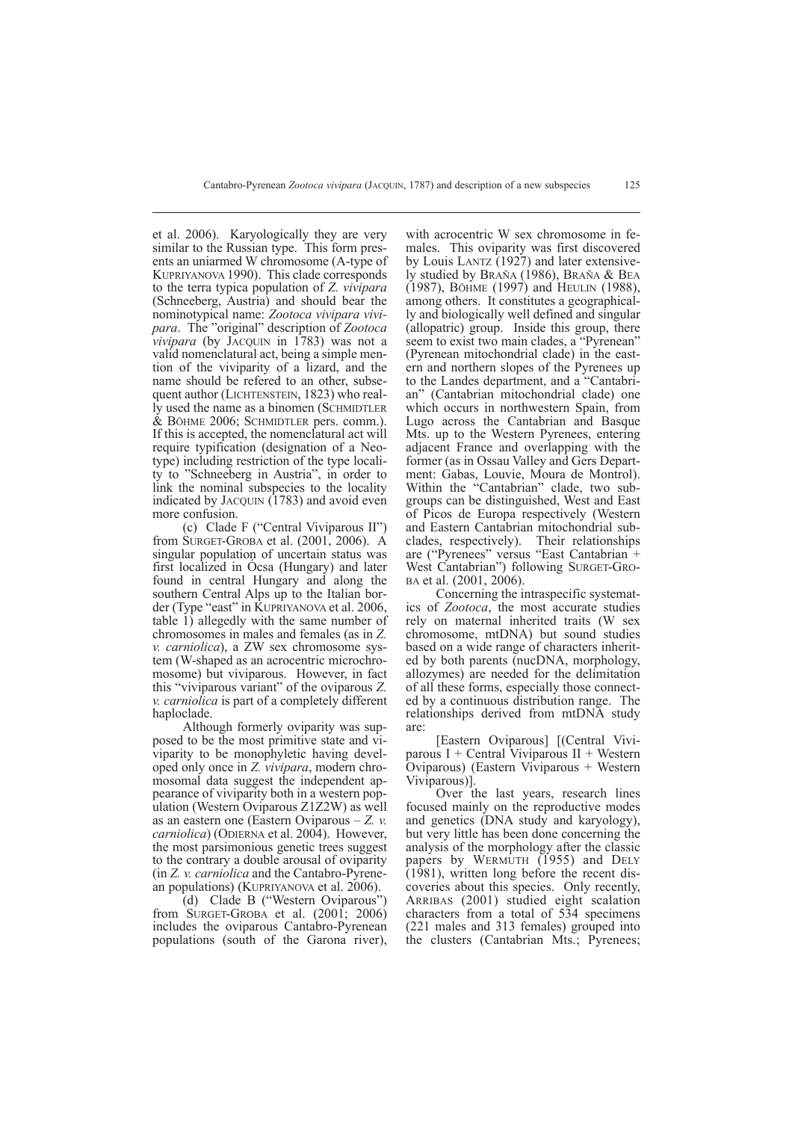et al. 2006). Karyologically they are very similar to the Russian type. This form presents an uniarmed W chromosome (A-type of KUPRIYANOVA 1990). This clade corresponds to the terra typica population of *Z. vivipara* (Schneeberg, Austria) and should bear the nominotypical name: *Zootoca vivipara vivipara*. The "original" description of *Zootoca vivipara* (by JACQUIN in 1783) was not a valid nomenclatural act, being a simple mention of the viviparity of a lizard, and the name should be refered to an other, subsequent author (LICHTENSTEIN, 1823) who really used the name as a binomen (SCHMIDTLER & BÖHME 2006; SCHMIDTLER pers. comm.). If this is accepted, the nomenclatural act will require typification (designation of a Neotype) including restriction of the type locality to "Schneeberg in Austria", in order to link the nominal subspecies to the locality indicated by JACQUIN (1783) and avoid even more confusion.

(c) Clade F ("Central Viviparous II") from SURGET-GROBA et al. (2001, 2006). A singular population of uncertain status was first localized in Ócsa (Hungary) and later found in central Hungary and along the southern Central Alps up to the Italian border (Type "east" in KUPRIYANOVA et al. 2006, table 1) allegedly with the same number of chromosomes in males and females (as in *Z. v. carniolica*), a ZW sex chromosome system (W-shaped as an acrocentric microchromosome) but viviparous. However, in fact this "viviparous variant" of the oviparous *Z. v. carniolica* is part of a completely different haploclade.

Although formerly oviparity was supposed to be the most primitive state and viviparity to be monophyletic having developed only once in *Z. vivipara*, modern chromosomal data suggest the independent appearance of viviparity both in a western population (Western Oviparous Z1Z2W) as well as an eastern one (Eastern Oviparous – *Z. v. carniolica*) (ODIERNA et al. 2004). However, the most parsimonious genetic trees suggest to the contrary a double arousal of oviparity (in *Z. v. carniolica* and the Cantabro-Pyrenean populations) (KUPRIYANOVA et al. 2006).

(d) Clade B ("Western Oviparous") from SURGET-GROBA et al. (2001; 2006) includes the oviparous Cantabro-Pyrenean populations (south of the Garona river),

with acrocentric W sex chromosome in females. This oviparity was first discovered by Louis LANTZ (1927) and later extensively studied by BRAÑA (1986), BRAÑA & BEA (1987), BÖHME (1997) and HEULIN (1988), among others. It constitutes a geographically and biologically well defined and singular (allopatric) group. Inside this group, there seem to exist two main clades, a "Pyrenean" (Pyrenean mitochondrial clade) in the eastern and northern slopes of the Pyrenees up to the Landes department, and a "Cantabrian" (Cantabrian mitochondrial clade) one which occurs in northwestern Spain, from Lugo across the Cantabrian and Basque Mts. up to the Western Pyrenees, entering adjacent France and overlapping with the former (as in Ossau Valley and Gers Department: Gabas, Louvie, Moura de Montrol). Within the "Cantabrian" clade, two subgroups can be distinguished, West and East of Picos de Europa respectively (Western and Eastern Cantabrian mitochondrial subclades, respectively). Their relationships are ("Pyrenees" versus "East Cantabrian + West Cantabrian") following SURGET-GRO- BA et al. (2001, 2006).

Concerning the intraspecific systematics of *Zootoca*, the most accurate studies rely on maternal inherited traits (W sex chromosome, mtDNA) but sound studies based on a wide range of characters inherited by both parents (nucDNA, morphology, allozymes) are needed for the delimitation of all these forms, especially those connected by a continuous distribution range. The relationships derived from mtDNA study are:

[Eastern Oviparous] [(Central Viviparous I + Central Viviparous II + Western Oviparous) (Eastern Viviparous + Western Viviparous)].

Over the last years, research lines focused mainly on the reproductive modes and genetics (DNA study and karyology), but very little has been done concerning the analysis of the morphology after the classic papers by WERMUTH (1955) and DELY (1981), written long before the recent discoveries about this species. Only recently, ARRIBAS (2001) studied eight scalation characters from a total of 534 specimens (221 males and 313 females) grouped into the clusters (Cantabrian Mts.; Pyrenees;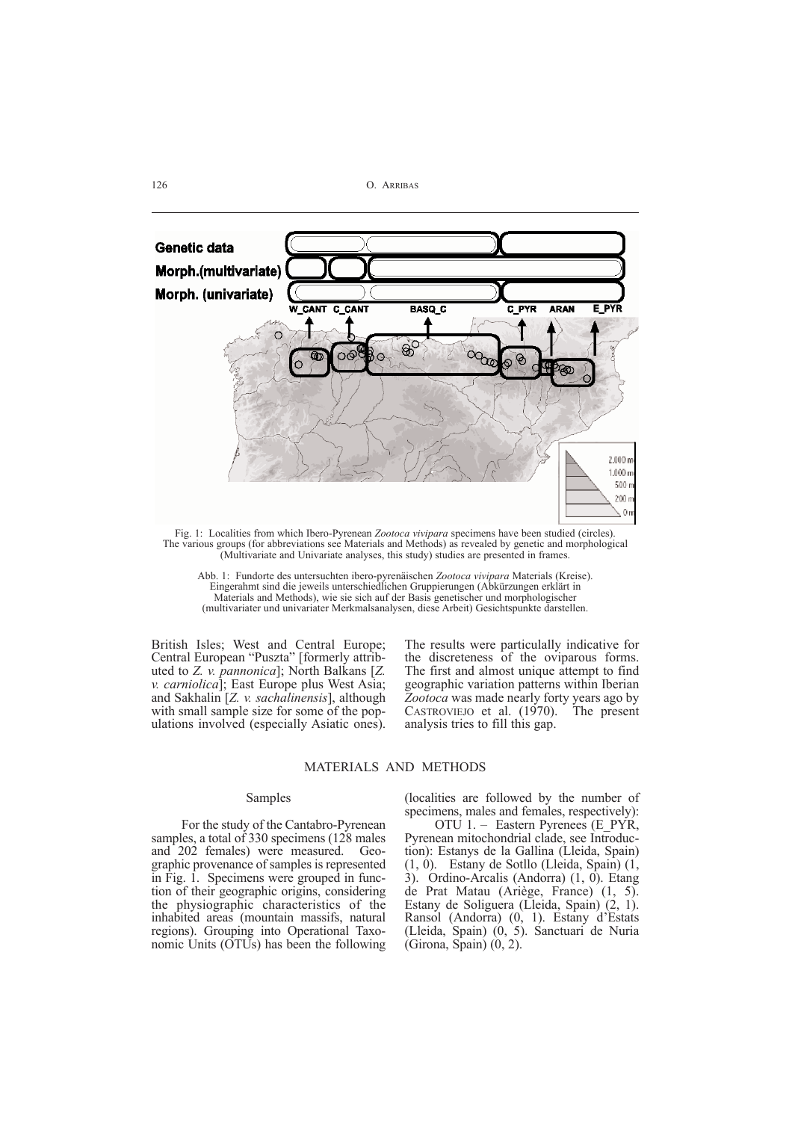

Fig. 1: Localities from which Ibero-Pyrenean *Zootoca vivipara* specimens have been studied (circles). The various groups (for abbreviations see Materials and Methods) as revealed by genetic and morphological (Multivariate and Univariate analyses, this study) studies are presented in frames.

Abb. 1: Fundorte des untersuchten ibero-pyrenäischen *Zootoca vivipara* Materials (Kreise). Eingerahmt sind die jeweils unterschiedlichen Gruppierungen (Abkürzungen erklärt in Materials and Methods), wie sie sich auf der Basis genetischer und morphologischer (multivariater und univariater Merkmalsanalysen, diese Arbeit) Gesichtspunkte darstellen.

British Isles; West and Central Europe; Central European "Puszta" [formerly attributed to *Z. v. pannonica*]; North Balkans [*Z. v. carniolica*]; East Europe plus West Asia; and Sakhalin [*Z. v. sachalinensis*], although with small sample size for some of the populations involved (especially Asiatic ones). The results were particulally indicative for the discreteness of the oviparous forms. The first and almost unique attempt to find geographic variation patterns within Iberian *Zootoca* was made nearly forty years ago by CASTROVIEJO et al. (1970). The present analysis tries to fill this gap.

## MATERIALS AND METHODS

#### Samples

For the study of the Cantabro-Pyrenean samples, a total of 330 specimens (128 males and 202 females) were measured. Geographic provenance of samples is represented in Fig. 1. Specimens were grouped in function of their geographic origins, considering the physiographic characteristics of the inhabited areas (mountain massifs, natural regions). Grouping into Operational Taxonomic Units (OTUs) has been the following (localities are followed by the number of specimens, males and females, respectively):

OTU 1. – Eastern Pyrenees (E\_PYR, Pyrenean mitochondrial clade, see Introduction): Estanys de la Gallina (Lleida, Spain) (1, 0). Estany de Sotllo (Lleida, Spain) (1, 3). Ordino-Arcalis (Andorra) (1, 0). Etang de Prat Matau (Ariège, France) (1, 5). Estany de Soliguera (Lleida, Spain) (2, 1). Ransol (Andorra) (0, 1). Estany d'Estats (Lleida, Spain) (0, 5). Sanctuari de Nuria (Girona, Spain) (0, 2).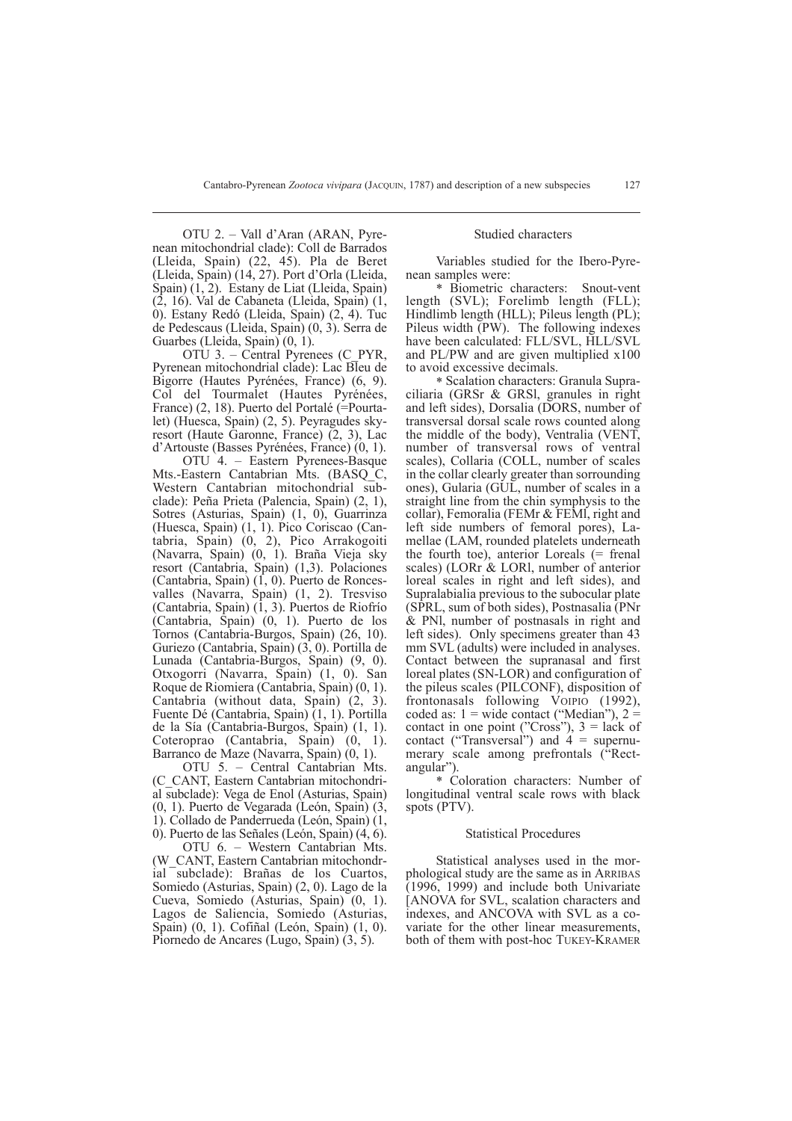OTU 2. – Vall d'Aran (ARAN, Pyrenean mitochondrial clade): Coll de Barrados (Lleida, Spain) (22, 45). Pla de Beret (Lleida, Spain) (14, 27). Port d'Orla (Lleida, Spain) (1, 2). Estany de Liat (Lleida, Spain) (2, 16). Val de Cabaneta (Lleida, Spain) (1, 0). Estany Redó (Lleida, Spain) (2, 4). Tuc de Pedescaus (Lleida, Spain) (0, 3). Serra de Guarbes (Lleida, Spain) (0, 1).

OTU 3. – Central Pyrenees (C\_PYR, Pyrenean mitochondrial clade): Lac Bleu de Bigorre (Hautes Pyrénées, France) (6, 9). Col del Tourmalet (Hautes Pyrénées, France) (2, 18). Puerto del Portalé (=Pourtalet) (Huesca, Spain) (2, 5). Peyragudes skyresort (Haute Garonne, France) (2, 3), Lac d'Artouste (Basses Pyrénées, France) (0, 1).

OTU 4. – Eastern Pyrenees-Basque Mts.-Eastern Cantabrian Mts. (BASO C, Western Cantabrian mitochondrial subclade): Peña Prieta (Palencia, Spain) (2, 1), Sotres (Asturias, Spain) (1, 0), Guarrinza (Huesca, Spain) (1, 1). Pico Coriscao (Cantabria, Spain) (0, 2), Pico Arrakogoiti (Navarra, Spain) (0, 1). Braña Vieja sky resort (Cantabria, Spain) (1,3). Polaciones (Cantabria, Spain) (1, 0). Puerto de Roncesvalles (Navarra, Spain) (1, 2). Tresviso (Cantabria, Spain) (1, 3). Puertos de Riofrío (Cantabria, Spain) (0, 1). Puerto de los Tornos (Cantabria-Burgos, Spain) (26, 10). Guriezo (Cantabria, Spain) (3, 0). Portilla de Lunada (Cantabria-Burgos, Spain) (9, 0). Otxogorri (Navarra, Spain) (1, 0). San Roque de Riomiera (Cantabria, Spain) (0, 1). Cantabria (without data, Spain) (2, 3). Fuente Dé (Cantabria, Spain) (1, 1). Portilla de la Sía (Cantabria-Burgos, Spain) (1, 1). Coteroprao (Cantabria, Spain) (0, 1). Barranco de Maze (Navarra, Spain) (0, 1).

OTU 5. – Central Cantabrian Mts. (C\_CANT, Eastern Cantabrian mitochondrial subclade): Vega de Enol (Asturias, Spain) (0, 1). Puerto de Vegarada (León, Spain) (3, 1). Collado de Panderrueda (León, Spain) (1, 0). Puerto de las Señales (León, Spain) (4, 6).

OTU 6. – Western Cantabrian Mts. (W\_CANT, Eastern Cantabrian mitochondrial subclade): Brañas de los Cuartos, Somiedo (Asturias, Spain) (2, 0). Lago de la Cueva, Somiedo (Asturias, Spain) (0, 1). Lagos de Saliencia, Somiedo (Asturias, Spain) (0, 1). Cofiñal (León, Spain) (1, 0). Piornedo de Ancares (Lugo, Spain) (3, 5).

## Studied characters

Variables studied for the Ibero-Pyrenean samples were:

\* Biometric characters: Snout-vent length (SVL); Forelimb length (FLL); Hindlimb length (HLL); Pileus length (PL); Pileus width (PW). The following indexes have been calculated: FLL/SVL, HLL/SVL and PL/PW and are given multiplied x100 to avoid excessive decimals.

\* Scalation characters: Granula Supraciliaria (GRSr & GRSl, granules in right and left sides), Dorsalia (DORS, number of transversal dorsal scale rows counted along the middle of the body), Ventralia (VENT, number of transversal rows of ventral scales), Collaria (COLL, number of scales in the collar clearly greater than sorrounding ones), Gularia (GUL, number of scales in a straight line from the chin symphysis to the collar), Femoralia (FEMr & FEMl, right and left side numbers of femoral pores), Lamellae (LAM, rounded platelets underneath the fourth toe), anterior Loreals (= frenal scales) (LORr & LORl, number of anterior loreal scales in right and left sides), and Supralabialia previous to the subocular plate (SPRL, sum of both sides), Postnasalia (PNr & PNl, number of postnasals in right and left sides). Only specimens greater than 43 mm SVL (adults) were included in analyses. Contact between the supranasal and first loreal plates (SN-LOR) and configuration of the pileus scales (PILCONF), disposition of frontonasals following VOIPIO (1992), coded as:  $1 =$  wide contact ("Median"),  $2 =$ contact in one point ("Cross"),  $3 =$  lack of contact ("Transversal") and  $4 =$  supernumerary scale among prefrontals ("Rectangular").

\* Coloration characters: Number of longitudinal ventral scale rows with black spots (PTV).

#### Statistical Procedures

Statistical analyses used in the morphological study are the same as in ARRIBAS (1996, 1999) and include both Univariate [ANOVA for SVL, scalation characters and indexes, and ANCOVA with SVL as a covariate for the other linear measurements, both of them with post-hoc TUKEY-KRAMER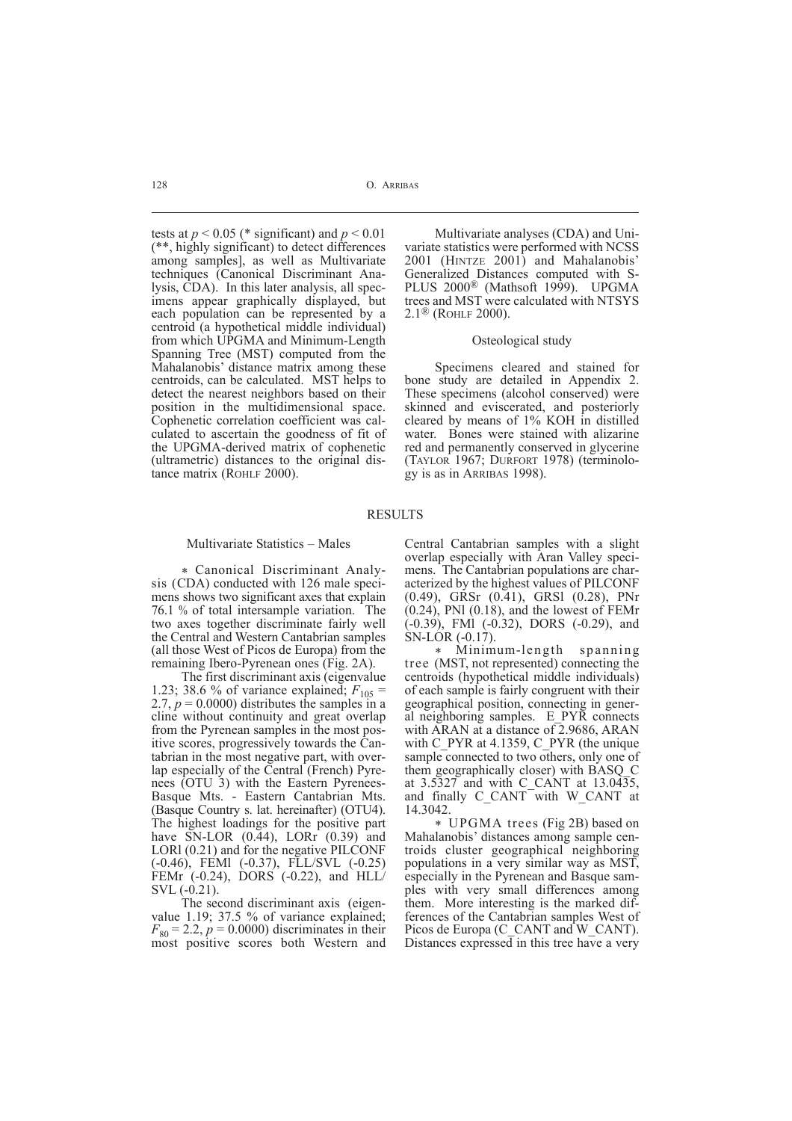tests at  $p < 0.05$  (\* significant) and  $p < 0.01$ (\*\*, highly significant) to detect differences among samples], as well as Multivariate techniques (Canonical Discriminant Analysis, CDA). In this later analysis, all specimens appear graphically displayed, but each population can be represented by a centroid (a hypothetical middle individual) from which UPGMA and Minimum-Length Spanning Tree (MST) computed from the Mahalanobis' distance matrix among these centroids, can be calculated. MST helps to detect the nearest neighbors based on their position in the multidimensional space. Cophenetic correlation coefficient was calculated to ascertain the goodness of fit of the UPGMA-derived matrix of cophenetic (ultrametric) distances to the original distance matrix (ROHLF 2000).

Multivariate analyses (CDA) and Univariate statistics were performed with NCSS 2001 (HINTZE 2001) and Mahalanobis' Generalized Distances computed with S-PLUS 2000<sup>®</sup> (Mathsoft 1999). UPGMA trees and MST were calculated with NTSYS 2.1® (ROHLF 2000).

#### Osteological study

Specimens cleared and stained for bone study are detailed in Appendix 2. These specimens (alcohol conserved) were skinned and eviscerated, and posteriorly cleared by means of 1% KOH in distilled water. Bones were stained with alizarine red and permanently conserved in glycerine (TAYLOR 1967; DURFORT 1978) (terminology is as in ARRIBAS 1998).

#### RESULTS

#### Multivariate Statistics – Males

\* Canonical Discriminant Analysis (CDA) conducted with 126 male specimens shows two significant axes that explain 76.1 % of total intersample variation. The two axes together discriminate fairly well the Central and Western Cantabrian samples (all those West of Picos de Europa) from the remaining Ibero-Pyrenean ones (Fig. 2A).

The first discriminant axis (eigenvalue 1.23; 38.6 % of variance explained;  $F_{105}$  = 2.7,  $p = 0.0000$ ) distributes the samples in a cline without continuity and great overlap from the Pyrenean samples in the most positive scores, progressively towards the Cantabrian in the most negative part, with overlap especially of the Central (French) Pyrenees (OTU 3) with the Eastern Pyrenees-Basque Mts. - Eastern Cantabrian Mts. (Basque Country s. lat. hereinafter) (OTU4). The highest loadings for the positive part have SN-LOR (0.44), LORr (0.39) and LORl (0.21) and for the negative PILCONF (-0.46), FEMl (-0.37), FLL/SVL (-0.25) FEMr  $(-0.24)$ , DORS  $(-0.22)$ , and  $HLL$ SVL (-0.21).

The second discriminant axis (eigenvalue 1.19; 37.5 % of variance explained;  $F_{80} = 2.2$ ,  $p = 0.0000$ ) discriminates in their most positive scores both Western and Central Cantabrian samples with a slight overlap especially with Aran Valley specimens. The Cantabrian populations are characterized by the highest values of PILCONF (0.49), GRSr (0.41), GRSl (0.28), PNr  $(0.24)$ , PNI  $(0.18)$ , and the lowest of FEMr (-0.39), FMl (-0.32), DORS (-0.29), and SN-LOR (-0.17).

\* Minimum-length spanning tree (MST, not represented) connecting the centroids (hypothetical middle individuals) of each sample is fairly congruent with their geographical position, connecting in general neighboring samples. E\_PYR connects with ARAN at a distance of 2.9686, ARAN with C\_PYR at 4.1359, C\_PYR (the unique sample connected to two others, only one of them geographically closer) with BASQ\_C at 3.5327 and with C\_CANT at 13.0435, and finally C\_CANT with W\_CANT at 14.3042.

\* UPGMA trees (Fig 2B) based on Mahalanobis' distances among sample centroids cluster geographical neighboring populations in a very similar way as MST, especially in the Pyrenean and Basque samples with very small differences among them. More interesting is the marked differences of the Cantabrian samples West of Picos de Europa (C\_CANT and W\_CANT). Distances expressed in this tree have a very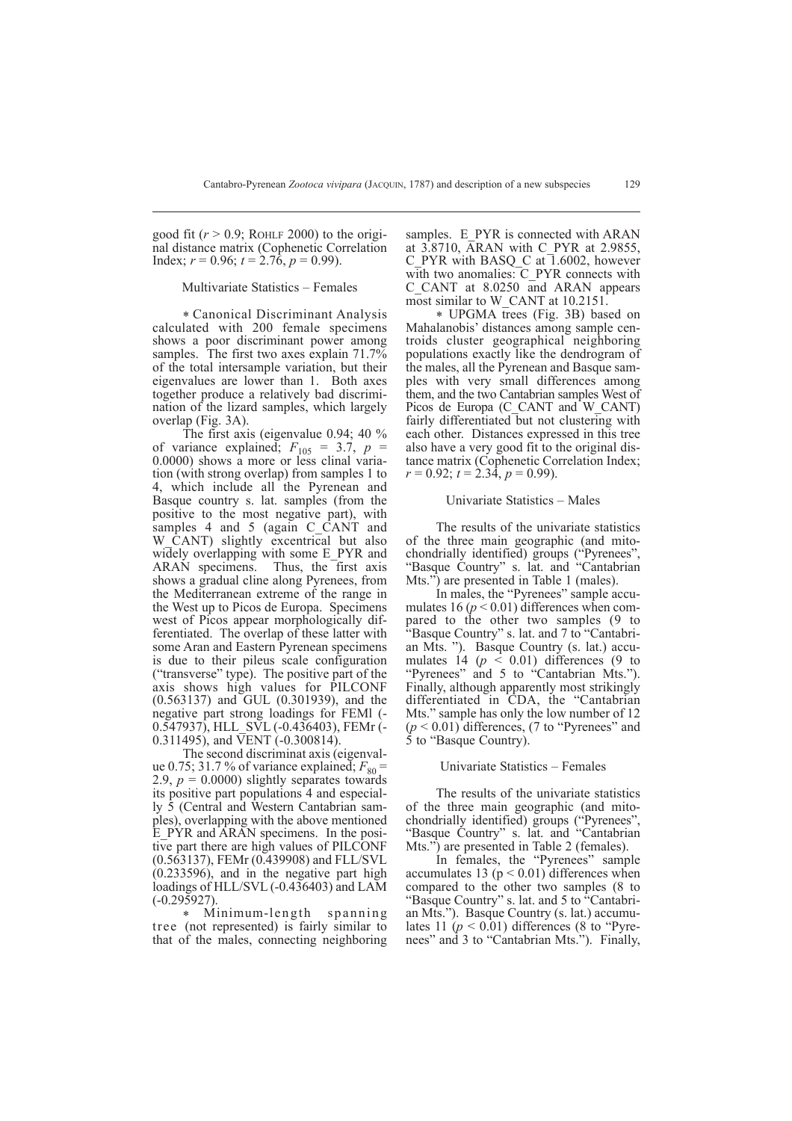good fit  $(r > 0.9;$  ROHLF 2000) to the original distance matrix (Cophenetic Correlation Index;  $r = 0.96$ ;  $t = 2.76$ ,  $p = 0.99$ ).

## Multivariate Statistics – Females

\* Canonical Discriminant Analysis calculated with 200 female specimens shows a poor discriminant power among samples. The first two axes explain 71.7% of the total intersample variation, but their eigenvalues are lower than 1. Both axes together produce a relatively bad discrimination of the lizard samples, which largely overlap (Fig. 3A).

The first axis (eigenvalue 0.94; 40 % of variance explained;  $F_{105} = 3.7$ ,  $p = 0.0000$ ) shows a more or less clinal variation (with strong overlap) from samples 1 to 4, which include all the Pyrenean and Basque country s. lat. samples (from the positive to the most negative part), with samples 4 and 5 (again C\_CANT and W\_CANT) slightly excentrical but also widely overlapping with some E PYR and ARAN specimens. Thus, the first axis shows a gradual cline along Pyrenees, from the Mediterranean extreme of the range in the West up to Picos de Europa. Specimens west of Picos appear morphologically differentiated. The overlap of these latter with some Aran and Eastern Pyrenean specimens is due to their pileus scale configuration ("transverse" type). The positive part of the axis shows high values for PILCONF (0.563137) and GUL (0.301939), and the negative part strong loadings for FEMl (- 0.547937), HLL\_SVL (-0.436403), FEMr (- 0.311495), and  $\overline{V}$ ENT (-0.300814).

The second discriminat axis (eigenvalue 0.75; 31.7 % of variance explained;  $F_{80}$  = 2.9,  $p = 0.0000$ ) slightly separates towards its positive part populations 4 and especially 5 (Central and Western Cantabrian samples), overlapping with the above mentioned E\_PYR and ARAN specimens. In the positive part there are high values of PILCONF (0.563137), FEMr (0.439908) and FLL/SVL (0.233596), and in the negative part high loadings of HLL/SVL (-0.436403) and LAM (-0.295927).

Minimum-length spanning tree (not represented) is fairly similar to that of the males, connecting neighboring

samples. E\_PYR is connected with ARAN at 3.8710, ARAN with C\_PYR at 2.9855, C\_PYR with BASQ\_C at 1.6002, however with two anomalies: C\_PYR connects with C\_CANT at 8.0250 and ARAN appears most similar to W\_CANT at 10.2151.

\* UPGMA trees (Fig. 3B) based on Mahalanobis' distances among sample centroids cluster geographical neighboring populations exactly like the dendrogram of the males, all the Pyrenean and Basque samples with very small differences among them, and the two Cantabrian samples West of Picos de Europa (C\_CANT and W\_CANT) fairly differentiated but not clustering with each other. Distances expressed in this tree also have a very good fit to the original distance matrix (Cophenetic Correlation Index;  $r = 0.92$ ;  $t = 2.34$ ,  $p = 0.99$ ).

#### Univariate Statistics – Males

The results of the univariate statistics of the three main geographic (and mitochondrially identified) groups ("Pyrenees", "Basque Country" s. lat. and "Cantabrian Mts.") are presented in Table 1 (males).

In males, the "Pyrenees" sample accumulates 16 ( $p < 0.01$ ) differences when compared to the other two samples (9 to "Basque Country" s. lat. and 7 to "Cantabrian Mts. "). Basque Country (s. lat.) accumulates 14  $(p \le 0.01)$  differences (9 to "Pyrenees" and 5 to "Cantabrian Mts."). Finally, although apparently most strikingly differentiated in CDA, the "Cantabrian Mts." sample has only the low number of 12  $(p < 0.01)$  differences, (7 to "Pyrenees" and 5 to "Basque Country).

## Univariate Statistics – Females

The results of the univariate statistics of the three main geographic (and mitochondrially identified) groups ("Pyrenees", "Basque Country" s. lat. and "Cantabrian Mts.") are presented in Table 2 (females).

In females, the "Pyrenees" sample accumulates 13 ( $p < 0.01$ ) differences when compared to the other two samples (8 to "Basque Country" s. lat. and 5 to "Cantabrian Mts."). Basque Country (s. lat.) accumulates 11 ( $p < 0.01$ ) differences (8 to "Pyrenees" and 3 to "Cantabrian Mts."). Finally,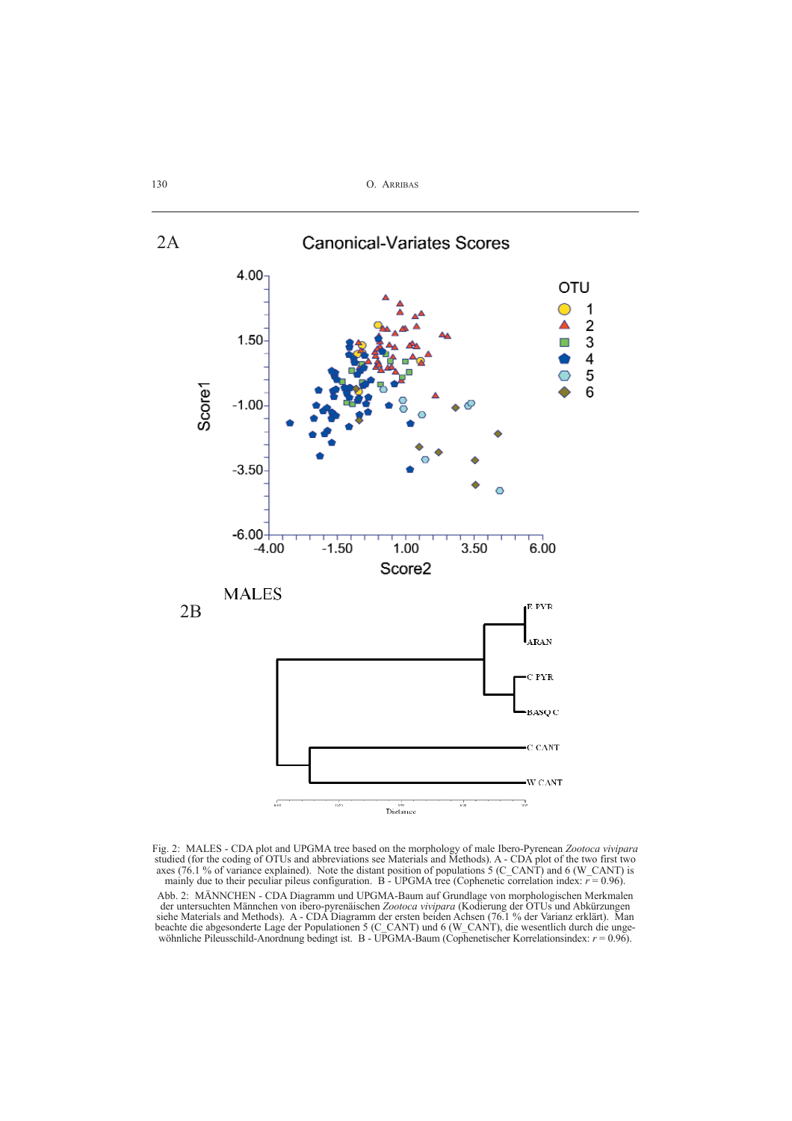

Fig. 2: MALES - CDA plot and UPGMA tree based on the morphology of male Ibero-Pyrenean *Zootoca vivipara* studied (for the coding of OTUs and abbreviations see Materials and Methods). A - CDA plot of the two first two axes (76.1 % of variance explained). Note the distant position of populations  $5$  (C\_CANT) and 6 (W\_CANT) is mainly due to their peculiar pileus configuration.  $B - UPGMA$  tree (Cophenetic correlation index:  $r = 0.96$ ).

Abb. 2: MÄNNCHEN - CDA Diagramm und UPGMA-Baum auf Grundlage von morphologischen Merkmalen der untersuchten Männchen von ibero-pyrenäischen *Zootoca vivipara* (Kodierung der OTUs und Abkürzungen siehe Materials and Methods). A - CDA Diagramm der ersten beiden Achsen (76.1 % der Varianz erklärt). Man beachte die abgesonderte Lage der Populationen 5 (C\_CANT) und 6 (W\_CANT), die wesentlich durch die ungewöhnliche Pileusschild-Anordnung bedingt ist. B - UPGMA-Baum (Cophenetischer Korrelationsindex: *r* = 0.96).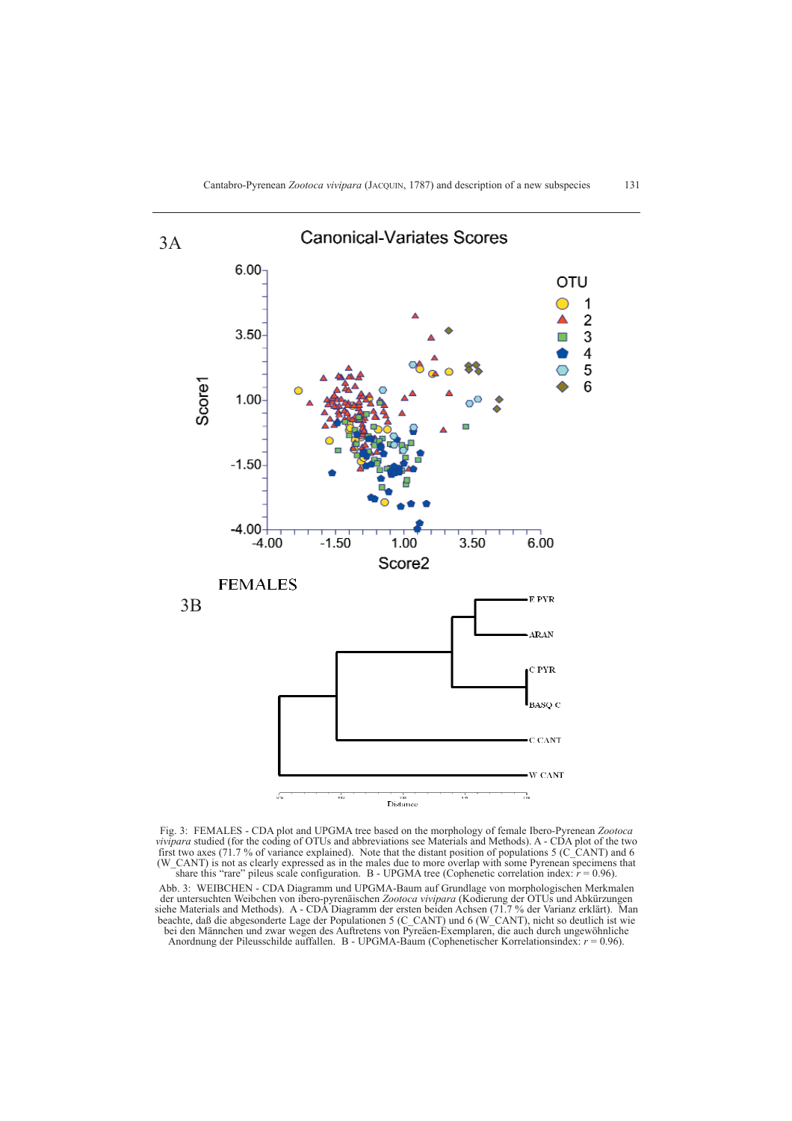

Fig. 3: FEMALES - CDA plot and UPGMA tree based on the morphology of female Ibero-Pyrenean *Zootoca vivipara* studied (for the coding of OTUs and abbreviations see Materials and Methods). A - CDA plot of the two first two axes (71.7 % of variance explained). Note that the distant position of populations 5 (C\_CANT) and 6 (W\_CANT) is not as clearly expressed as in the males due to more overlap with some Pyrenean specimens that share this "rare" pileus scale configuration. B - UPGMA tree (Cophenetic correlation index:  $r = 0.96$ ).

Abb. 3: WEIBCHEN - CDA Diagramm und UPGMA-Baum auf Grundlage von morphologischen Merkmalen der untersuchten Weibchen von ibero-pyrenäischen *Zootoca vivipara* (Kodierung der OTUs und Abkürzungen siehe Materials and Methods). A - CDA Diagramm der ersten beiden Achsen (71.7 % der Varianz erklärt). Man beachte, daß die abgesonderte Lage der Populationen 5 (C\_CANT) und 6 (W\_CANT), nicht so deutlich ist wie bei den Männchen und zwar wegen des Auftretens von Pyreäen-Exemplaren, die auch durch ungewöhnliche Anordnung der Pileusschilde auffallen. B - UPGMA-Baum (Cophenetischer Korrelationsindex: *r* = 0.96).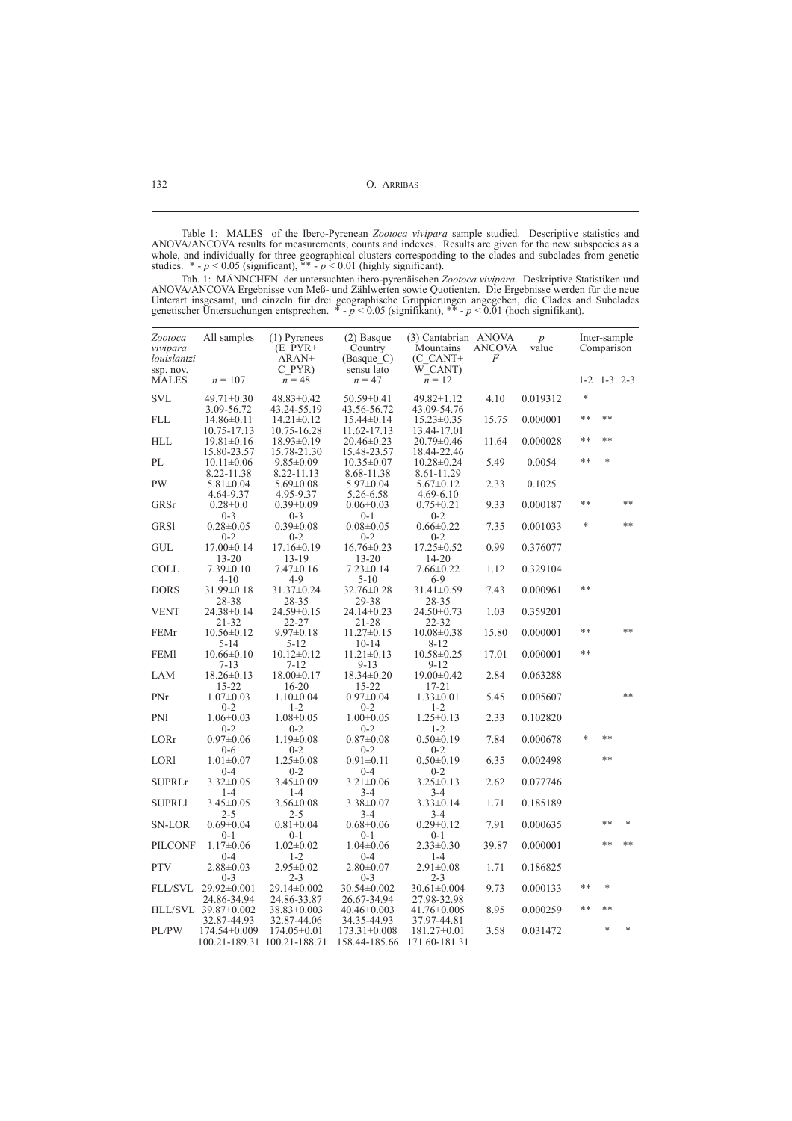Table 1: MALES of the Ibero-Pyrenean *Zootoca vivipara* sample studied. Descriptive statistics and ANOVA/ANCOVA results for measurements, counts and indexes. Results are given for the new subspecies as a whole, and individually for three geographical clusters corresponding to the clades and subclades from genetic studies.  $*$  -  $p$  < 0.05 (significant),  $**$  -  $p$  < 0.01 (highly significant).

Tab. 1: MÄNNCHEN der untersuchten ibero-pyrenäischen *Zootoca vivipara*. Deskriptive Statistiken und ANOVA/ANCOVA Ergebnisse von Meß- und Zählwerten sowie Quotienten. Die Ergebnisse werden für die neue Unterart insgesamt, und einzeln für drei geographische Gruppierungen angegeben, die Clades and Subclades genetischer Untersuchungen entsprechen. \* - *p* < 0.05 (signifikant), \*\* - *p* < 0.01 (hoch signifikant).

| Zootoca<br>vivipara<br>louislantzi | All samples                                   | (1) Pyrenees<br>$(E$ PYR+<br>ARAN+             | $(2)$ Basque<br>Country<br>(Basque C) | (3) Cantabrian ANOVA<br>Mountains<br>$(C$ $CANT+$ | <b>ANCOVA</b><br>F | $\boldsymbol{p}$<br>value |         | Inter-sample<br>Comparison |                |
|------------------------------------|-----------------------------------------------|------------------------------------------------|---------------------------------------|---------------------------------------------------|--------------------|---------------------------|---------|----------------------------|----------------|
| ssp. nov.<br><b>MALES</b>          | $n = 107$                                     | C PYR)<br>$n = 48$                             | sensu lato<br>$n = 47$                | W CANT)<br>$n = 12$                               |                    |                           | $1 - 2$ | $1 - 3$ 2-3                |                |
| <b>SVL</b>                         | $49.71 \pm 0.30$                              | $48.83 \pm 0.42$                               | $50.59 \pm 0.41$<br>43.56-56.72       | $49.82 \pm 1.12$                                  | 4.10               | 0.019312                  | $\ast$  |                            |                |
| <b>FLL</b>                         | 3.09-56.72<br>$14.86 \pm 0.11$<br>10.75-17.13 | 43.24-55.19<br>$14.21 \pm 0.12$<br>10.75-16.28 | $15.44 \pm 0.14$<br>11.62-17.13       | 43.09-54.76<br>$15.23 \pm 0.35$<br>13.44-17.01    | 15.75              | 0.000001                  | $**$    | $**$                       |                |
| <b>HLL</b>                         | $19.81 \pm 0.16$<br>15.80-23.57               | $18.93 \pm 0.19$<br>15.78-21.30                | $20.46 \pm 0.23$<br>15.48-23.57       | $20.79 \pm 0.46$<br>18.44-22.46                   | 11.64              | 0.000028                  | $**$    | $**$                       |                |
| PL                                 | $10.11 \pm 0.06$<br>8.22-11.38                | $9.85 \pm 0.09$<br>8.22-11.13                  | $10.35 \pm 0.07$<br>8.68-11.38        | $10.28 \pm 0.24$<br>8.61-11.29                    | 5.49               | 0.0054                    | **      | *                          |                |
| <b>PW</b>                          | $5.81 \pm 0.04$<br>4.64-9.37                  | $5.69 \pm 0.08$<br>4.95-9.37                   | $5.97 \pm 0.04$<br>5.26-6.58          | $5.67 \pm 0.12$<br>$4.69 - 6.10$                  | 2.33               | 0.1025                    |         |                            |                |
| GRSr                               | $0.28 \pm 0.0$<br>$0 - 3$                     | $0.39 \pm 0.09$<br>$0 - 3$                     | $0.06 \pm 0.03$<br>$0 - 1$            | $0.75 \pm 0.21$<br>$0 - 2$                        | 9.33               | 0.000187                  | **      |                            | $**$           |
| <b>GRS1</b>                        | $0.28 \pm 0.05$<br>$0 - 2$                    | $0.39 \pm 0.08$<br>$0 - 2$                     | $0.08 \pm 0.05$<br>$0 - 2$            | $0.66 \pm 0.22$<br>$0 - 2$                        | 7.35               | 0.001033                  | *       |                            | **             |
| <b>GUL</b>                         | $17.00 \pm 0.14$<br>$13 - 20$                 | $17.16\pm0.19$<br>13-19                        | $16.76 \pm 0.23$<br>$13 - 20$         | $17.25 \pm 0.52$<br>14-20                         | 0.99               | 0.376077                  |         |                            |                |
| COLL                               | $7.39 \pm 0.10$<br>$4 - 10$                   | $7.47 \pm 0.16$<br>4-9                         | $7.23 \pm 0.14$<br>$5-10$             | $7.66 \pm 0.22$<br>$6-9$                          | 1.12               | 0.329104                  |         |                            |                |
| <b>DORS</b>                        | $31.99 \pm 0.18$<br>28-38                     | $31.37 \pm 0.24$<br>28-35                      | $32.76 \pm 0.28$<br>29-38             | $31.41 \pm 0.59$<br>28-35                         | 7.43               | 0.000961                  | **      |                            |                |
| <b>VENT</b>                        | $24.38 \pm 0.14$<br>21-32                     | $24.59 \pm 0.15$<br>22-27                      | $24.14\pm0.23$<br>21-28               | 24.50 ± 0.73<br>$22 - 32$                         | 1.03               | 0.359201                  |         |                            |                |
| FEMr                               | 10.56±0.12<br>5-14                            | $9.97 \pm 0.18$<br>5-12                        | $11.27 \pm 0.15$<br>$10 - 14$         | $10.08 \pm 0.38$<br>8-12                          | 15.80              | 0.000001                  | **      |                            | **             |
| <b>FEMI</b>                        | $10.66 \pm 0.10$<br>$7 - 13$                  | $10.12 \pm 0.12$<br>$7 - 12$                   | $11.21 \pm 0.13$<br>$9 - 13$          | $10.58 \pm 0.25$<br>$9 - 12$                      | 17.01              | 0.000001                  | **      |                            |                |
| LAM                                | $18.26 \pm 0.13$<br>15-22                     | $18.00 \pm 0.17$<br>$16 - 20$                  | $18.34 \pm 0.20$<br>15-22             | $19.00 \pm 0.42$<br>$17 - 21$                     | 2.84               | 0.063288                  |         |                            |                |
| PNr                                | $1.07 \pm 0.03$<br>$0 - 2$                    | $1.10\pm0.04$<br>$1 - 2$                       | $0.97 \pm 0.04$<br>$0 - 2$            | $1.33 \pm 0.01$<br>$1 - 2$                        | 5.45               | 0.005607                  |         |                            | **             |
| PNI                                | $1.06 \pm 0.03$<br>$0 - 2$                    | $1.08 \pm 0.05$<br>$0 - 2$                     | $1.00 \pm 0.05$<br>$0 - 2$            | $1.25 \pm 0.13$<br>$1 - 2$                        | 2.33               | 0.102820                  |         |                            |                |
| LORr                               | $0.97 \pm 0.06$<br>$0 - 6$                    | $1.19 \pm 0.08$<br>$0 - 2$                     | $0.87 \pm 0.08$<br>$0 - 2$            | $0.50 \pm 0.19$<br>$0 - 2$                        | 7.84               | 0.000678                  | $\ast$  | $**$                       |                |
| <b>LORI</b>                        | $1.01 \pm 0.07$<br>$0 - 4$                    | $1.25 \pm 0.08$<br>$0 - 2$                     | $0.91 \pm 0.11$<br>$0 - 4$            | $0.50 \pm 0.19$<br>$0 - 2$                        | 6.35               | 0.002498                  |         | **                         |                |
| <b>SUPRLr</b>                      | $3.32 \pm 0.05$<br>$1 - 4$                    | $3.45 \pm 0.09$<br>$1 - 4$                     | $3.21 \pm 0.06$<br>$3-4$              | $3.25 \pm 0.13$<br>$3-4$                          | 2.62               | 0.077746                  |         |                            |                |
| <b>SUPRLI</b>                      | $3.45 \pm 0.05$<br>2-5                        | $3.56 \pm 0.08$<br>2-5                         | $3.38 \pm 0.07$<br>3-4                | $3.33 \pm 0.14$<br>3-4                            | 1.71               | 0.185189                  |         |                            |                |
| SN-LOR                             | $0.69 \pm 0.04$<br>0-1                        | $0.81 \pm 0.04$<br>$0 - 1$                     | $0.68 \pm 0.06$<br>$0 - 1$            | $0.29 \pm 0.12$<br>$0 - 1$                        | 7.91               | 0.000635                  |         | **<br>**                   | $\ast$<br>$**$ |
| <b>PILCONF</b>                     | $1.17 \pm 0.06$<br>$0 - 4$                    | $1.02 \pm 0.02$<br>$1 - 2$                     | $1.04 \pm 0.06$<br>$0 - 4$            | $2.33 \pm 0.30$<br>$1 - 4$                        | 39.87              | 0.000001                  |         |                            |                |
| <b>PTV</b>                         | $2.88 \pm 0.03$<br>$0 - 3$                    | $2.95 \pm 0.02$<br>$2 - 3$                     | $2.80 \pm 0.07$<br>$0 - 3$            | $2.91 \pm 0.08$<br>$2 - 3$                        | 1.71               | 0.186825                  |         |                            |                |
| <b>FLL/SVL</b>                     | $29.92 \pm 0.001$<br>24.86-34.94              | 29.14±0.002<br>24.86-33.87                     | $30.54 \pm 0.002$<br>26.67-34.94      | $30.61 \pm 0.004$<br>27.98-32.98                  | 9.73               | 0.000133                  | **      | *                          |                |
|                                    | HLL/SVL 39.87±0.002<br>32.87-44.93            | 38.83±0.003<br>32.87-44.06                     | $40.46 \pm 0.003$<br>34.35-44.93      | $41.76 \pm 0.005$<br>37.97-44.81                  | 8.95               | 0.000259                  | $**$    | **                         |                |
| PL/PW                              | $174.54\pm0.009$<br>100.21-189.31             | $174.05 \pm 0.01$<br>100.21-188.71             | $173.31 \pm 0.008$<br>158.44-185.66   | $181.27 \pm 0.01$<br>171.60-181.31                | 3.58               | 0.031472                  |         | ×.                         | ٠k             |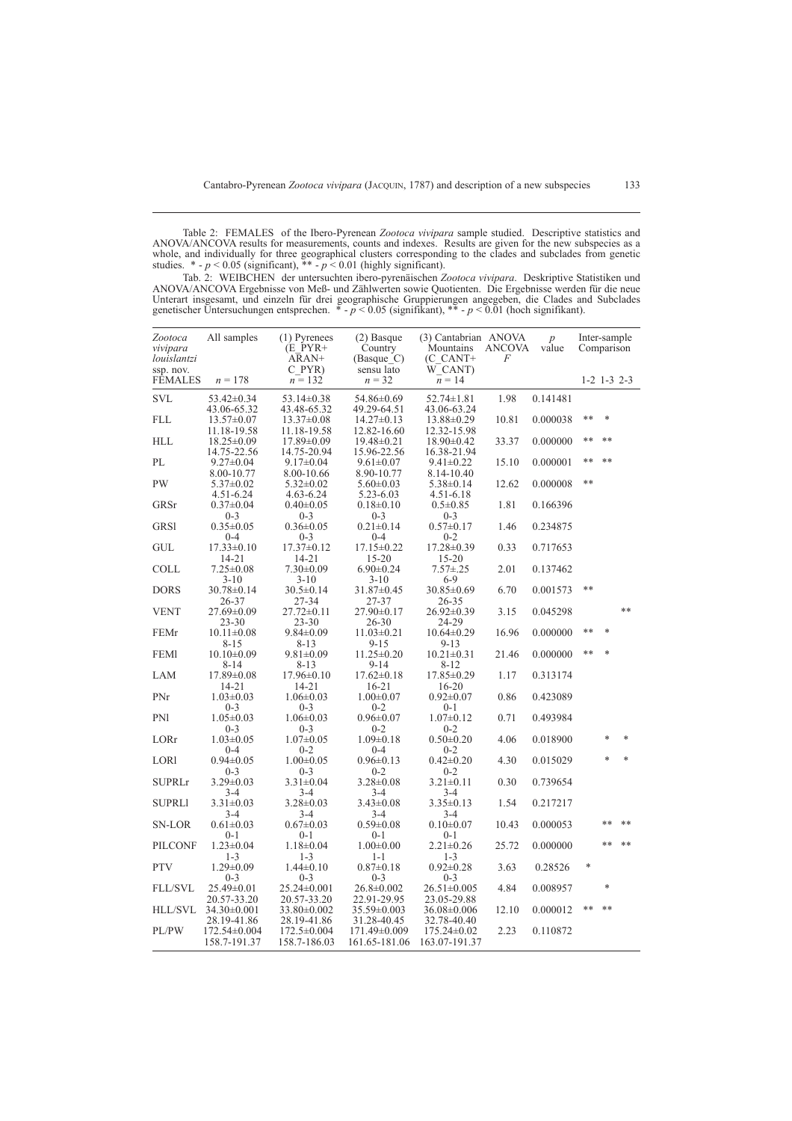Table 2: FEMALES of the Ibero-Pyrenean *Zootoca vivipara* sample studied. Descriptive statistics and ANOVA/ANCOVA results for measurements, counts and indexes. Results are given for the new subspecies as a whole, and individually for three geographical clusters corresponding to the clades and subclades from genetic studies. \* - *p* < 0.05 (significant), \*\* - *p* < 0.01 (highly significant).

Tab. 2: WEIBCHEN der untersuchten ibero-pyrenäischen *Zootoca vivipara*. Deskriptive Statistiken und ANOVA/ANCOVA Ergebnisse von Meß- und Zählwerten sowie Quotienten. Die Ergebnisse werden für die neue Unterart insgesamt, und einzeln für drei geographische Gruppierungen angegeben, die Clades and Subclades genetischer Untersuchungen entsprechen. \* - *p* < 0.05 (signifikant), \*\* - *p* < 0.01 (hoch signifikant).

| Zootoca<br>vivipara<br>louislantzi | All samples                                 | (1) Pyrenees<br>$(E$ PYR+<br>ARAN+               | (2) Basque<br>Country<br>(Basque C)          | (3) Cantabrian ANOVA<br>Mountains<br>(C CANT+     | ANCOVA<br>F | $\overline{p}$<br>value | Inter-sample<br>Comparison |                   |        |
|------------------------------------|---------------------------------------------|--------------------------------------------------|----------------------------------------------|---------------------------------------------------|-------------|-------------------------|----------------------------|-------------------|--------|
| ssp. nov.<br><b>FEMALES</b>        | $n = 178$                                   | C PYR)<br>$n = 132$                              | sensu lato<br>$n = 32$                       | W CANT)<br>$n = 14$                               |             |                         |                            | $1-2$ $1-3$ $2-3$ |        |
| <b>SVL</b>                         | $53.42 \pm 0.34$                            | $53.14 \pm 0.38$                                 | 54.86±0.69                                   | $52.74 \pm 1.81$                                  | 1.98        | 0.141481                |                            |                   |        |
| FLL                                | 43.06-65.32<br>$13.57 \pm 0.07$             | 43.48-65.32<br>$13.37\pm0.08$                    | 49.29-64.51<br>$14.27 \pm 0.13$              | 43.06-63.24<br>$13.88 \pm 0.29$                   | 10.81       | 0.000038                | **                         | $\ast$            |        |
| <b>HLL</b>                         | 11.18-19.58<br>$18.25 \pm 0.09$             | 11.18-19.58<br>$17.89 \pm 0.09$                  | 12.82-16.60<br>$19.48 \pm 0.21$              | 12.32-15.98<br>$18.90 \pm 0.42$                   | 33.37       | 0.000000                | **                         | **                |        |
| PL                                 | 14.75-22.56<br>$9.27 \pm 0.04$              | 14.75-20.94<br>$9.17 \pm 0.04$                   | 15.96-22.56<br>$9.61 \pm 0.07$               | 16.38-21.94<br>$9.41 \pm 0.22$                    | 15.10       | 0.000001                | **                         | **                |        |
| <b>PW</b>                          | 8.00-10.77<br>$5.37 \pm 0.02$               | 8.00-10.66<br>$5.32 \pm 0.02$                    | 8.90-10.77<br>$5.60 \pm 0.03$                | 8.14-10.40<br>$5.38 \pm 0.14$                     | 12.62       | 0.000008                | **                         |                   |        |
| GRSr                               | $4.51 - 6.24$<br>$0.37 \pm 0.04$            | $4.63 - 6.24$<br>$0.40 \pm 0.05$                 | 5.23-6.03<br>$0.18 \pm 0.10$                 | 4.51-6.18<br>$0.5 \pm 0.85$                       | 1.81        | 0.166396                |                            |                   |        |
| <b>GRS1</b>                        | $0 - 3$<br>$0.35 \pm 0.05$                  | $0 - 3$<br>$0.36 \pm 0.05$                       | $0 - 3$<br>$0.21 \pm 0.14$                   | $0 - 3$<br>$0.57 \pm 0.17$                        | 1.46        | 0.234875                |                            |                   |        |
| <b>GUL</b>                         | $0 - 4$<br>$17.33 \pm 0.10$                 | $0 - 3$<br>$17.37 \pm 0.12$                      | $0 - 4$<br>$17.15 \pm 0.22$                  | $0 - 2$<br>$17.28 \pm 0.39$                       | 0.33        | 0.717653                |                            |                   |        |
| COLL                               | $14 - 21$<br>$7.25 \pm 0.08$                | $14 - 21$<br>$7.30 \pm 0.09$                     | $15 - 20$<br>$6.90 \pm 0.24$                 | $15 - 20$<br>$7.57 + 0.25$                        | 2.01        | 0.137462                |                            |                   |        |
| <b>DORS</b>                        | $3 - 10$<br>30.78±0.14                      | $3-10$<br>$30.5 \pm 0.14$                        | $3-10$<br>$31.87 \pm 0.45$                   | $6-9$<br>$30.85 \pm 0.69$                         | 6.70        | 0.001573                | **                         |                   |        |
| <b>VENT</b>                        | 26-37<br>27.69±0.09                         | 27-34<br>$27.72 \pm 0.11$                        | 27-37<br>$27.90 \pm 0.17$                    | 26-35<br>$26.92 \pm 0.39$                         | 3.15        | 0.045298                |                            |                   | **     |
| FEMr                               | $23 - 30$<br>$10.11 \pm 0.08$               | $23 - 30$<br>$9.84 \pm 0.09$                     | 26-30<br>$11.03 \pm 0.21$                    | 24-29<br>$10.64 \pm 0.29$                         | 16.96       | 0.000000                | **                         | $\ast$            |        |
| <b>FEMI</b>                        | 8-15<br>$10.10\pm0.09$                      | 8-13<br>$9.81 \pm 0.09$                          | $9 - 15$<br>$11.25 \pm 0.20$                 | $9 - 13$<br>$10.21 \pm 0.31$                      | 21.46       | 0.000000                | **                         |                   |        |
| LAM                                | $8 - 14$<br>$17.89 \pm 0.08$                | 8-13<br>$17.96 \pm 0.10$                         | $9 - 14$<br>$17.62 \pm 0.18$                 | 8-12<br>17.85±0.29                                | 1.17        | 0.313174                |                            |                   |        |
| PNr                                | 14-21<br>$1.03 \pm 0.03$                    | 14-21<br>$1.06 \pm 0.03$                         | $16 - 21$<br>$1.00 \pm 0.07$                 | $16 - 20$<br>$0.92 \pm 0.07$                      | 0.86        | 0.423089                |                            |                   |        |
| <b>PN1</b>                         | $0 - 3$<br>$1.05 \pm 0.03$                  | $0 - 3$<br>$1.06 \pm 0.03$                       | $0 - 2$<br>$0.96 \pm 0.07$                   | $0 - 1$<br>$1.07 \pm 0.12$                        | 0.71        | 0.493984                |                            |                   |        |
| LORr                               | $0 - 3$<br>$1.03 \pm 0.05$                  | $0 - 3$<br>$1.07 \pm 0.05$                       | $0 - 2$<br>$1.09 \pm 0.18$                   | $0 - 2$<br>$0.50 \pm 0.20$                        | 4.06        | 0.018900                |                            | $\ast$            | $\ast$ |
| LORI                               | $0 - 4$<br>$0.94 \pm 0.05$                  | $0 - 2$<br>$1.00 \pm 0.05$                       | $0 - 4$<br>$0.96 \pm 0.13$                   | $0 - 2$<br>$0.42 \pm 0.20$                        | 4.30        | 0.015029                |                            | $\ast$            | $\ast$ |
| <b>SUPRLr</b>                      | $0 - 3$<br>$3.29 \pm 0.03$                  | $0 - 3$<br>$3.31 \pm 0.04$                       | $0 - 2$<br>$3.28 \pm 0.08$                   | $0 - 2$<br>$3.21 \pm 0.11$                        | 0.30        | 0.739654                |                            |                   |        |
| <b>SUPRLI</b>                      | 3-4<br>$3.31 \pm 0.03$                      | 3-4<br>$3.28 \pm 0.03$                           | 3-4<br>$3.43 \pm 0.08$                       | $3-4$<br>$3.35 \pm 0.13$                          | 1.54        | 0.217217                |                            |                   |        |
| SN-LOR                             | 3-4<br>$0.61 \pm 0.03$                      | 3-4<br>$0.67 \pm 0.03$                           | $3-4$<br>$0.59 \pm 0.08$                     | $3 - 4$<br>$0.10 \pm 0.07$                        | 10.43       | 0.000053                |                            | $* *$             | **     |
| <b>PILCONF</b>                     | $0 - 1$<br>$1.23 \pm 0.04$                  | $0 - 1$<br>$1.18 \pm 0.04$                       | $0 - 1$<br>$1.00 \pm 0.00$                   | $0 - 1$<br>$2.21 \pm 0.26$                        | 25.72       | 0.000000                |                            | $**$              | $**$   |
| <b>PTV</b>                         | $1 - 3$<br>$1.29 \pm 0.09$                  | $1 - 3$<br>$1.44 \pm 0.10$                       | $1 - 1$<br>$0.87 \pm 0.18$                   | $1 - 3$<br>$0.92 \pm 0.28$                        | 3.63        | 0.28526                 | *                          |                   |        |
| <b>FLL/SVL</b>                     | $0 - 3$<br>25.49±0.01                       | $0 - 3$<br>$25.24 \pm 0.001$                     | $0 - 3$<br>$26.8 \pm 0.002$                  | $0 - 3$<br>$26.51 \pm 0.005$                      | 4.84        | 0.008957                |                            | $\ast$            |        |
| HLL/SVL                            | 20.57-33.20<br>$34.30\pm0.001$              | 20.57-33.20<br>$33.80 \pm 0.002$                 | 22.91-29.95<br>35.59±0.003                   | 23.05-29.88<br>$36.08 \pm 0.006$                  | 12.10       | 0.000012                | **                         | **                |        |
| PL/PW                              | 28.19-41.86<br>172.54±0.004<br>158.7-191.37 | 28.19-41.86<br>$172.5 \pm 0.004$<br>158.7-186.03 | 31.28-40.45<br>171.49±0.009<br>161.65-181.06 | 32.78-40.40<br>$175.24 \pm 0.02$<br>163.07-191.37 | 2.23        | 0.110872                |                            |                   |        |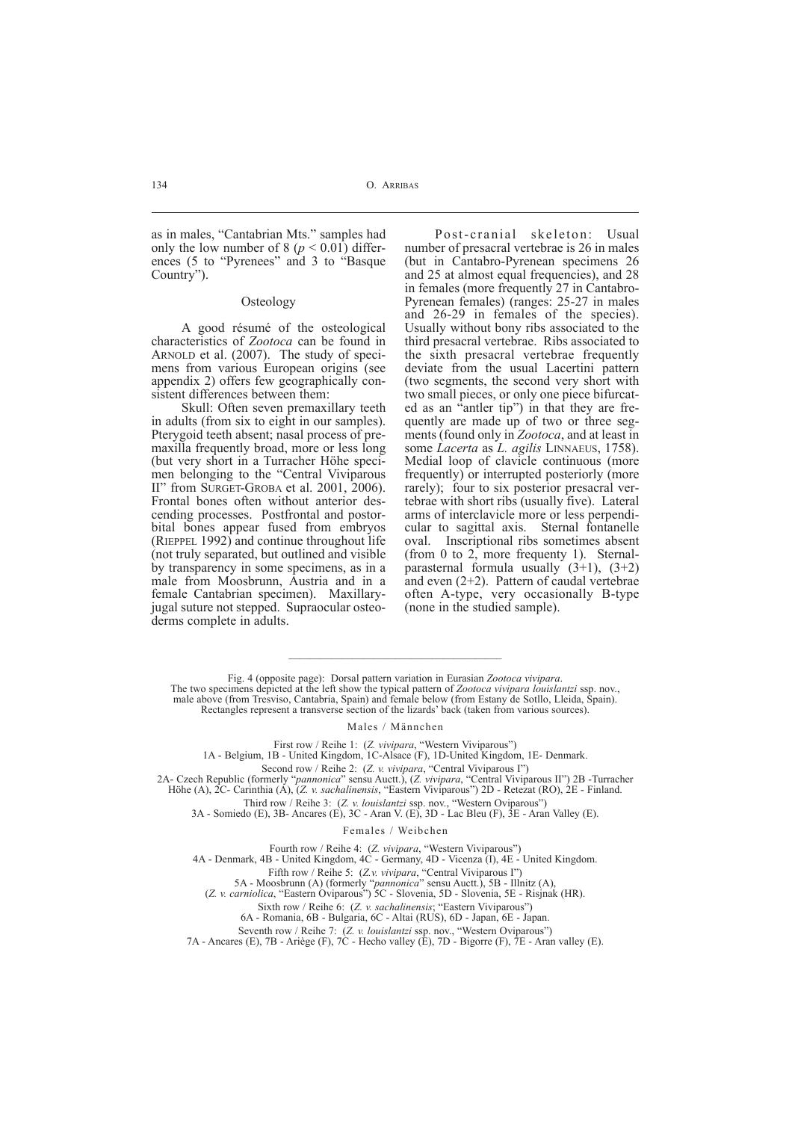as in males, "Cantabrian Mts." samples had only the low number of 8 ( $p < 0.01$ ) differences (5 to "Pyrenees" and 3 to "Basque Country").

#### **Osteology**

A good résumé of the osteological characteristics of *Zootoca* can be found in ARNOLD et al. (2007). The study of specimens from various European origins (see appendix 2) offers few geographically consistent differences between them:

Skull: Often seven premaxillary teeth in adults (from six to eight in our samples). Pterygoid teeth absent; nasal process of premaxilla frequently broad, more or less long (but very short in a Turracher Höhe specimen belonging to the "Central Viviparous II" from SURGET-GROBA et al. 2001, 2006). Frontal bones often without anterior descending processes. Postfrontal and postorbital bones appear fused from embryos (RIEPPEL 1992) and continue throughout life (not truly separated, but outlined and visible by transparency in some specimens, as in a male from Moosbrunn, Austria and in a female Cantabrian specimen). Maxillaryjugal suture not stepped. Supraocular osteoderms complete in adults.

Post-cranial skeleton: Usual number of presacral vertebrae is 26 in males (but in Cantabro-Pyrenean specimens 26 and 25 at almost equal frequencies), and 28 in females (more frequently 27 in Cantabro-Pyrenean females) (ranges: 25-27 in males and 26-29 in females of the species). Usually without bony ribs associated to the third presacral vertebrae. Ribs associated to the sixth presacral vertebrae frequently deviate from the usual Lacertini pattern (two segments, the second very short with two small pieces, or only one piece bifurcated as an "antler tip") in that they are frequently are made up of two or three segments (found only in *Zootoca*, and at least in some *Lacerta* as *L. agilis* LINNAEUS, 1758). Medial loop of clavicle continuous (more frequently) or interrupted posteriorly (more rarely); four to six posterior presacral vertebrae with short ribs (usually five). Lateral arms of interclavicle more or less perpendicular to sagittal axis. Sternal fontanelle oval. Inscriptional ribs sometimes absent (from 0 to 2, more frequenty 1). Sternalparasternal formula usually  $(3+1)$ ,  $(3+2)$ and even (2+2). Pattern of caudal vertebrae often A-type, very occasionally B-type (none in the studied sample).

 $\mathcal{L}_\text{max}$  and  $\mathcal{L}_\text{max}$  and  $\mathcal{L}_\text{max}$  and  $\mathcal{L}_\text{max}$ Fig. 4 (opposite page): Dorsal pattern variation in Eurasian *Zootoca vivipara*.

#### Males / Männchen

First row / Reihe 1: (*Z. vivipara*, "Western Viviparous")

1A - Belgium, 1B - United Kingdom, 1C-Alsace (F), 1D-United Kingdom, 1E- Denmark.

Second row / Reihe 2: (*Z. v. vivipara*, "Central Viviparous I")

2A- Czech Republic (formerly "*pannonica*" sensu Auctt.), (*Z. vivipara*, "Central Viviparous II") 2B -Turracher Höhe (A), 2C- Carinthia (A), (*Z. v. sachalinensis*, "Eastern Viviparous") 2D - Retezat (RO), 2E - Finland.

Third row / Reihe 3: (*Z. v. louislantzi* ssp. nov., "Western Oviparous")

3A - Somiedo (E), 3B- Ancares (E), 3C - Aran V. (E), 3D - Lac Bleu (F), 3E - Aran Valley (E).

Females / Weibchen

Fourth row / Reihe 4: (*Z. vivipara*, "Western Viviparous")

4A - Denmark, 4B - United Kingdom, 4C - Germany, 4D - Vicenza (I), 4E - United Kingdom.

Fifth row / Reihe 5: (*Z.v. vivipara*, "Central Viviparous I")

5A - Moosbrunn (A) (formerly "*pannonica*" sensu Auctt.), 5B - Illnitz (A),

(*Z. v. carniolica*, "Eastern Oviparous") 5C - Slovenia, 5D - Slovenia, 5E - Risjnak (HR).

Sixth row / Reihe 6: (*Z. v. sachalinensis*; "Eastern Viviparous")

6A - Romania, 6B - Bulgaria, 6C - Altai (RUS), 6D - Japan, 6E - Japan.

Seventh row / Reihe 7: (*Z. v. louislantzi* ssp. nov., "Western Oviparous") 7A - Ancares (E), 7B - Ariège (F), 7C - Hecho valley (E), 7D - Bigorre (F), 7E - Aran valley (E).

The two specimens depicted at the left show the typical pattern of *Zootoca vivipara louislantzi* ssp. nov., male above (from Tresviso, Cantabria, Spain) and female below (from Estany de Sotllo, Lleida, Spain). Rectangles represent a transverse section of the lizards' back (taken from various sources).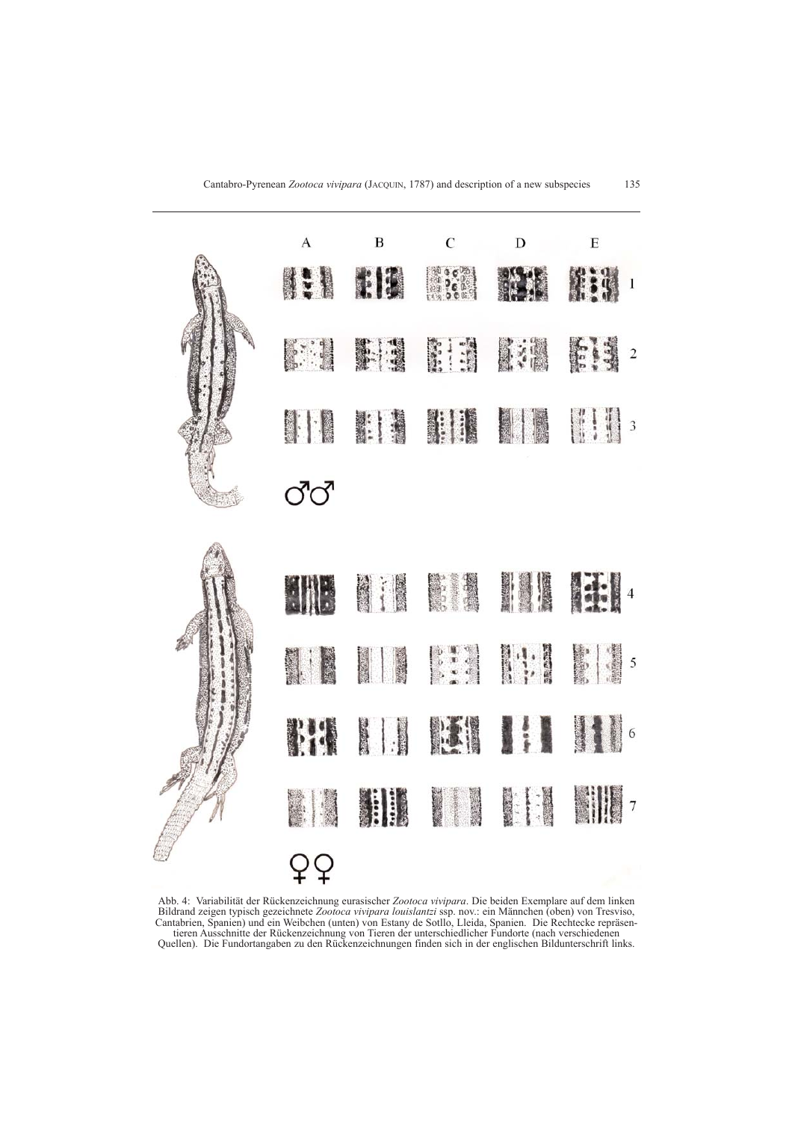

Abb. 4: Variabilität der Rückenzeichnung eurasischer *Zootoca vivipara*. Die beiden Exemplare auf dem linken Bildrand zeigen typisch gezeichnete *Zootoca vivipara louislantzi* ssp. nov.: ein Männchen (oben) von Tresviso, Cantabrien, Spanien) und ein Weibchen (unten) von Estany de Sotllo, Lleida, Spanien. Die Rechtecke repräsentieren Ausschnitte der Rückenzeichnung von Tieren der unterschiedlicher Fundorte (nach verschiedenen Quellen). Die Fundortangaben zu den Rückenzeichnungen finden sich in der englischen Bildunterschrift links.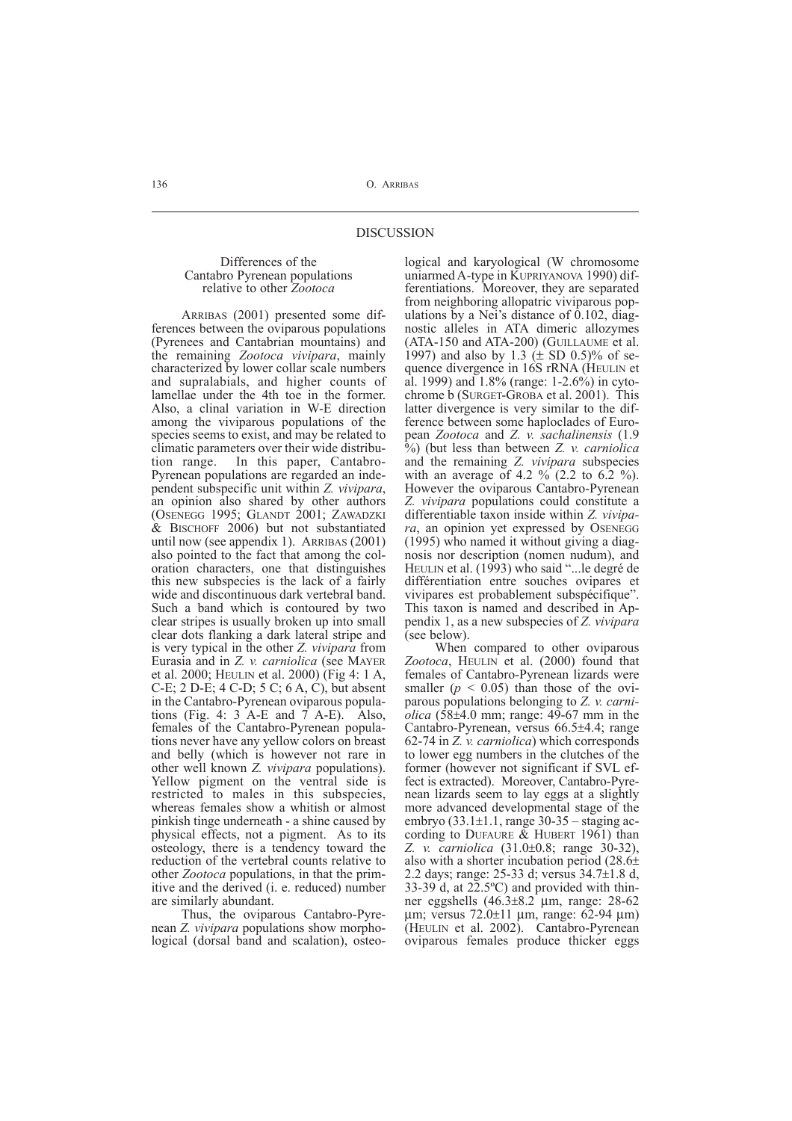#### Differences of the Cantabro Pyrenean populations relative to other *Zootoca*

ARRIBAS (2001) presented some differences between the oviparous populations (Pyrenees and Cantabrian mountains) and the remaining *Zootoca vivipara*, mainly characterized by lower collar scale numbers and supralabials, and higher counts of lamellae under the 4th toe in the former. Also, a clinal variation in W-E direction among the viviparous populations of the species seems to exist, and may be related to climatic parameters over their wide distribution range. In this paper, Cantabro-Pyrenean populations are regarded an independent subspecific unit within *Z. vivipara*, an opinion also shared by other authors (OSENEGG 1995; GLANDT 2001; ZAWADZKI & BISCHOFF 2006) but not substantiated until now (see appendix 1). ARRIBAS (2001) also pointed to the fact that among the coloration characters, one that distinguishes this new subspecies is the lack of a fairly wide and discontinuous dark vertebral band. Such a band which is contoured by two clear stripes is usually broken up into small clear dots flanking a dark lateral stripe and is very typical in the other *Z. vivipara* from Eurasia and in *Z. v. carniolica* (see MAYER et al. 2000; HEULIN et al. 2000) (Fig 4: 1 A, C-E; 2 D-E; 4 C-D; 5 C; 6 A, C), but absent in the Cantabro-Pyrenean oviparous populations (Fig. 4: 3 A-E and  $\overline{7}$  A-E). Also, females of the Cantabro-Pyrenean populations never have any yellow colors on breast and belly (which is however not rare in other well known *Z. vivipara* populations). Yellow pigment on the ventral side is restricted to males in this subspecies, whereas females show a whitish or almost pinkish tinge underneath - a shine caused by physical effects, not a pigment. As to its osteology, there is a tendency toward the reduction of the vertebral counts relative to other *Zootoca* populations, in that the primitive and the derived (i. e. reduced) number are similarly abundant.

Thus, the oviparous Cantabro-Pyrenean *Z. vivipara* populations show morphological (dorsal band and scalation), osteological and karyological (W chromosome uniarmed A-type in KUPRIYANOVA 1990) differentiations. Moreover, they are separated from neighboring allopatric viviparous populations by a Nei's distance of 0.102, diagnostic alleles in ATA dimeric allozymes (ATA-150 and ATA-200) (GUILLAUME et al. 1997) and also by 1.3  $(\pm$  SD 0.5)% of sequence divergence in 16S rRNA (HEULIN et al. 1999) and 1.8% (range: 1-2.6%) in cytochrome b (SURGET-GROBA et al. 2001). This latter divergence is very similar to the difference between some haploclades of European *Zootoca* and *Z. v. sachalinensis* (1.9 %) (but less than between *Z. v. carniolica* and the remaining *Z. vivipara* subspecies with an average of 4.2  $\%$  (2.2 to 6.2 %). However the oviparous Cantabro-Pyrenean *Z. vivipara* populations could constitute a differentiable taxon inside within *Z. vivipara*, an opinion yet expressed by OSENEGG (1995) who named it without giving a diagnosis nor description (nomen nudum), and HEULIN et al. (1993) who said "...le degré de différentiation entre souches ovipares et vivipares est probablement subspécifique". This taxon is named and described in Appendix 1, as a new subspecies of *Z. vivipara* (see below).

When compared to other oviparous *Zootoca*, HEULIN et al. (2000) found that females of Cantabro-Pyrenean lizards were smaller  $(p < 0.05)$  than those of the oviparous populations belonging to *Z. v. carniolica* (58±4.0 mm; range: 49-67 mm in the Cantabro-Pyrenean, versus 66.5±4.4; range 62-74 in *Z. v. carniolica*) which corresponds to lower egg numbers in the clutches of the former (however not significant if SVL effect is extracted). Moreover, Cantabro-Pyrenean lizards seem to lay eggs at a slightly more advanced developmental stage of the embryo  $(33.1\pm1.1)$ , range  $30-35$  – staging according to DUFAURE & HUBERT 1961) than *Z. v. carniolica* (31.0±0.8; range 30-32), also with a shorter incubation period (28.6± 2.2 days; range: 25-33 d; versus 34.7±1.8 d,  $33-39$  d, at  $22.5$ °C) and provided with thinner eggshells  $(46.3\pm8.2 \text{ }\mu\text{m}, \text{ range: } 28-62 \text{ }\mu\text{m}$ µm; versus 72.0±11 µm, range: 62-94 µm) (HEULIN et al. 2002). Cantabro-Pyrenean oviparous females produce thicker eggs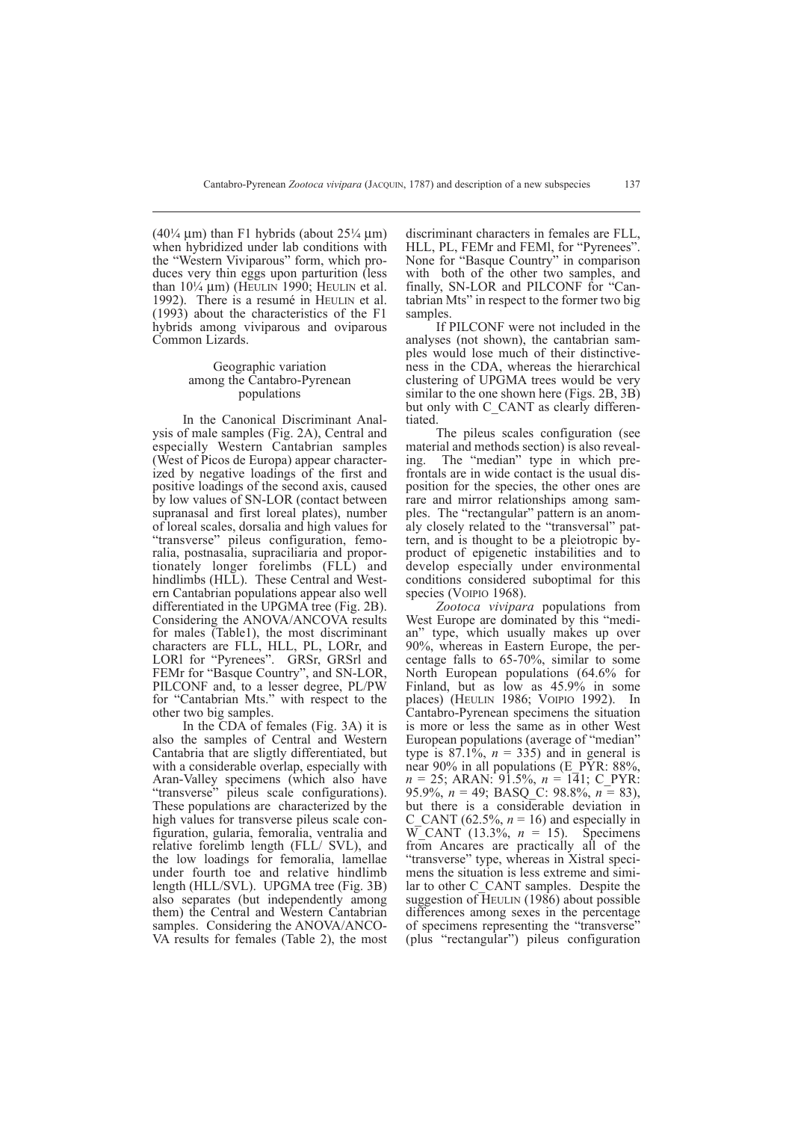$(40\frac{1}{4} \mu m)$  than F1 hybrids (about  $25\frac{1}{4} \mu m$ ) when hybridized under lab conditions with the "Western Viviparous" form, which produces very thin eggs upon parturition (less than  $10\frac{1}{4}$  µm) (HEULIN 1990; HEULIN et al. 1992). There is a resumé in HEULIN et al. (1993) about the characteristics of the F1 hybrids among viviparous and oviparous Common Lizards.

#### Geographic variation among the Cantabro-Pyrenean populations

In the Canonical Discriminant Analysis of male samples (Fig. 2A), Central and especially Western Cantabrian samples (West of Picos de Europa) appear characterized by negative loadings of the first and positive loadings of the second axis, caused by low values of SN-LOR (contact between supranasal and first loreal plates), number of loreal scales, dorsalia and high values for "transverse" pileus configuration, femoralia, postnasalia, supraciliaria and proportionately longer forelimbs (FLL) and hindlimbs (HLL). These Central and Western Cantabrian populations appear also well differentiated in the UPGMA tree (Fig. 2B). Considering the ANOVA/ANCOVA results for males (Table1), the most discriminant characters are FLL, HLL, PL, LORr, and LORI for "Pyrenees". GRSr, GRSrl and FEMr for "Basque Country", and SN-LOR, PILCONF and, to a lesser degree, PL/PW for "Cantabrian Mts." with respect to the other two big samples.

In the CDA of females (Fig. 3A) it is also the samples of Central and Western Cantabria that are sligtly differentiated, but with a considerable overlap, especially with Aran-Valley specimens (which also have "transverse" pileus scale configurations). These populations are characterized by the high values for transverse pileus scale configuration, gularia, femoralia, ventralia and relative forelimb length (FLL/ SVL), and the low loadings for femoralia, lamellae under fourth toe and relative hindlimb length (HLL/SVL). UPGMA tree (Fig. 3B) also separates (but independently among them) the Central and Western Cantabrian samples. Considering the ANOVA/ANCO-VA results for females (Table 2), the most

discriminant characters in females are FLL, HLL, PL, FEMr and FEMl, for "Pyrenees". None for "Basque Country" in comparison with both of the other two samples, and finally, SN-LOR and PILCONF for "Cantabrian Mts" in respect to the former two big samples.

If PILCONF were not included in the analyses (not shown), the cantabrian samples would lose much of their distinctiveness in the CDA, whereas the hierarchical clustering of UPGMA trees would be very similar to the one shown here (Figs. 2B, 3B) but only with C\_CANT as clearly differentiated.

The pileus scales configuration (see material and methods section) is also revealing. The "median" type in which prefrontals are in wide contact is the usual disposition for the species, the other ones are rare and mirror relationships among samples. The "rectangular" pattern is an anomaly closely related to the "transversal" pattern, and is thought to be a pleiotropic byproduct of epigenetic instabilities and to develop especially under environmental conditions considered suboptimal for this species (VOIPIO 1968).

*Zootoca vivipara* populations from West Europe are dominated by this "median" type, which usually makes up over 90%, whereas in Eastern Europe, the percentage falls to 65-70%, similar to some North European populations (64.6% for Finland, but as low as 45.9% in some places) (HEULIN 1986; VOIPIO 1992). In Cantabro-Pyrenean specimens the situation is more or less the same as in other West European populations (average of "median" type is  $87.1\%$ ,  $n = 335$ ) and in general is near 90% in all populations (E\_PYR: 88%,  $n = 25$ ; ARAN: 91.5%,  $n = 141$ ; C PYR: 95.9%, *n* = 49; BASQ\_C: 98.8%, *n* = 83), but there is a considerable deviation in C\_CANT (62.5%,  $n = 16$ ) and especially in  $\overline{W}$  CANT (13.3%, *n* = 15). Specimens from Ancares are practically all of the "transverse" type, whereas in Xistral specimens the situation is less extreme and similar to other C\_CANT samples. Despite the suggestion of HEULIN (1986) about possible differences among sexes in the percentage of specimens representing the "transverse" (plus "rectangular") pileus configuration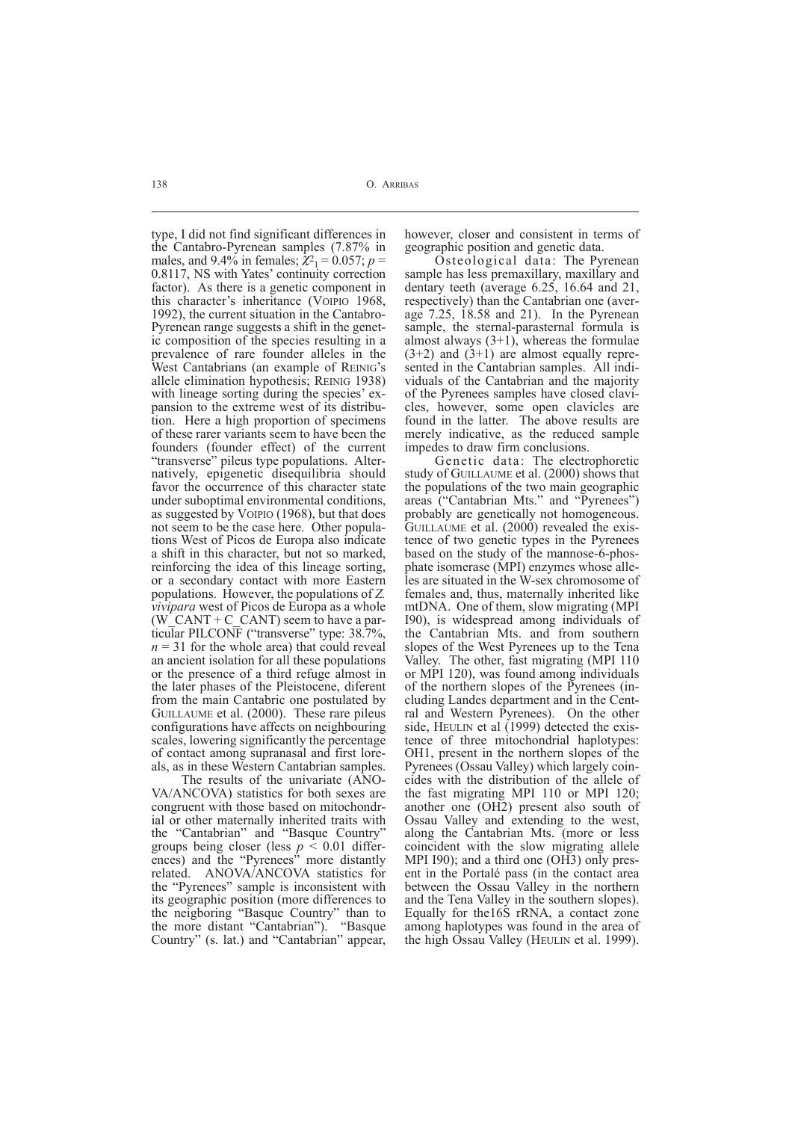type, I did not find significant differences in the Cantabro-Pyrenean samples (7.87% in males, and  $9.4\%$  in females;  $\chi_1^2 = 0.057$ ;  $p =$ 0.8117, NS with Yates' continuity correction factor). As there is a genetic component in this character's inheritance (VOIPIO 1968, 1992), the current situation in the Cantabro-Pyrenean range suggests a shift in the genetic composition of the species resulting in a prevalence of rare founder alleles in the West Cantabrians (an example of REINIG's allele elimination hypothesis; REINIG 1938) with lineage sorting during the species' expansion to the extreme west of its distribution. Here a high proportion of specimens of these rarer variants seem to have been the founders (founder effect) of the current "transverse" pileus type populations. Alternatively, epigenetic disequilibria should favor the occurrence of this character state under suboptimal environmental conditions, as suggested by VOIPIO (1968), but that does not seem to be the case here. Other populations West of Picos de Europa also indicate a shift in this character, but not so marked, reinforcing the idea of this lineage sorting, or a secondary contact with more Eastern populations. However, the populations of *Z. vivipara* west of Picos de Europa as a whole (W  $CANT + C$  CANT) seem to have a particular PILCONF ("transverse" type: 38.7%,  $n = 31$  for the whole area) that could reveal an ancient isolation for all these populations or the presence of a third refuge almost in the later phases of the Pleistocene, diferent from the main Cantabric one postulated by GUILLAUME et al. (2000). These rare pileus configurations have affects on neighbouring scales, lowering significantly the percentage of contact among supranasal and first loreals, as in these Western Cantabrian samples.

The results of the univariate (ANO-VA/ANCOVA) statistics for both sexes are congruent with those based on mitochondrial or other maternally inherited traits with the "Cantabrian" and "Basque Country" groups being closer (less  $p \le 0.01$  differences) and the "Pyrenees" more distantly related. ANOVA/ANCOVA statistics for the "Pyrenees" sample is inconsistent with its geographic position (more differences to the neigboring "Basque Country" than to the more distant "Cantabrian"). "Basque Country" (s. lat.) and "Cantabrian" appear,

however, closer and consistent in terms of geographic position and genetic data.

Osteological data: The Pyrenean sample has less premaxillary, maxillary and dentary teeth (average 6.25, 16.64 and 21, respectively) than the Cantabrian one (average 7.25, 18.58 and 21). In the Pyrenean sample, the sternal-parasternal formula is almost always  $(3+1)$ , whereas the formulae  $(3+2)$  and  $(3+1)$  are almost equally represented in the Cantabrian samples. All individuals of the Cantabrian and the majority of the Pyrenees samples have closed clavicles, however, some open clavicles are found in the latter. The above results are merely indicative, as the reduced sample impedes to draw firm conclusions.

Genetic data: The electrophoretic study of GUILLAUME et al. (2000) shows that the populations of the two main geographic areas ("Cantabrian Mts." and "Pyrenees") probably are genetically not homogeneous. GUILLAUME et al. (2000) revealed the existence of two genetic types in the Pyrenees based on the study of the mannose-6-phosphate isomerase (MPI) enzymes whose alleles are situated in the W-sex chromosome of females and, thus, maternally inherited like mtDNA. One of them, slow migrating (MPI I90), is widespread among individuals of the Cantabrian Mts. and from southern slopes of the West Pyrenees up to the Tena Valley. The other, fast migrating (MPI 110 or MPI 120), was found among individuals of the northern slopes of the Pyrenees (including Landes department and in the Central and Western Pyrenees). On the other side, HEULIN et al (1999) detected the existence of three mitochondrial haplotypes: OH1, present in the northern slopes of the Pyrenees (Ossau Valley) which largely coincides with the distribution of the allele of the fast migrating MPI 110 or MPI 120; another one (OH2) present also south of Ossau Valley and extending to the west, along the Cantabrian Mts. (more or less coincident with the slow migrating allele MPI 190); and a third one (OH3) only present in the Portalé pass (in the contact area between the Ossau Valley in the northern and the Tena Valley in the southern slopes). Equally for the16S rRNA, a contact zone among haplotypes was found in the area of the high Ossau Valley (HEULIN et al. 1999).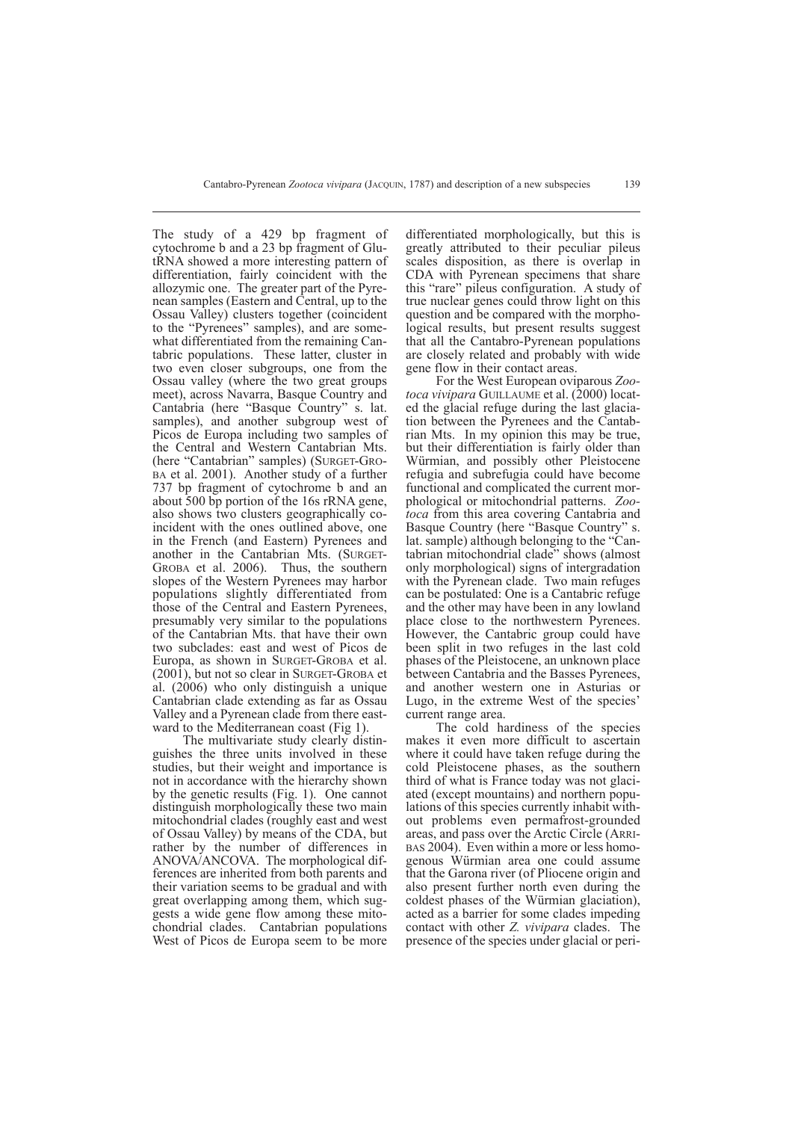The study of a 429 bp fragment of cytochrome b and a 23 bp fragment of GlutRNA showed a more interesting pattern of differentiation, fairly coincident with the allozymic one. The greater part of the Pyrenean samples (Eastern and Central, up to the Ossau Valley) clusters together (coincident to the "Pyrenees" samples), and are somewhat differentiated from the remaining Cantabric populations. These latter, cluster in two even closer subgroups, one from the Ossau valley (where the two great groups meet), across Navarra, Basque Country and Cantabria (here "Basque Country" s. lat. samples), and another subgroup west of Picos de Europa including two samples of the Central and Western Cantabrian Mts. (here "Cantabrian" samples) (SURGET-GRO-BA et al. 2001). Another study of a further 737 bp fragment of cytochrome b and an about 500 bp portion of the 16s rRNA gene, also shows two clusters geographically coincident with the ones outlined above, one in the French (and Eastern) Pyrenees and another in the Cantabrian Mts. (SURGET-GROBA et al. 2006). Thus, the southern slopes of the Western Pyrenees may harbor populations slightly differentiated from those of the Central and Eastern Pyrenees, presumably very similar to the populations of the Cantabrian Mts. that have their own two subclades: east and west of Picos de Europa, as shown in SURGET-GROBA et al. (2001), but not so clear in SURGET-GROBA et al. (2006) who only distinguish a unique Cantabrian clade extending as far as Ossau Valley and a Pyrenean clade from there eastward to the Mediterranean coast (Fig 1).

The multivariate study clearly distinguishes the three units involved in these studies, but their weight and importance is not in accordance with the hierarchy shown by the genetic results (Fig. 1). One cannot distinguish morphologically these two main mitochondrial clades (roughly east and west of Ossau Valley) by means of the CDA, but rather by the number of differences in ANOVA/ANCOVA. The morphological differences are inherited from both parents and their variation seems to be gradual and with great overlapping among them, which suggests a wide gene flow among these mitochondrial clades. Cantabrian populations West of Picos de Europa seem to be more

differentiated morphologically, but this is greatly attributed to their peculiar pileus scales disposition, as there is overlap in CDA with Pyrenean specimens that share this "rare" pileus configuration. A study of true nuclear genes could throw light on this question and be compared with the morphological results, but present results suggest that all the Cantabro-Pyrenean populations are closely related and probably with wide gene flow in their contact areas.

For the West European oviparous *Zootoca vivipara* GUILLAUME et al. (2000) located the glacial refuge during the last glaciation between the Pyrenees and the Cantabrian Mts. In my opinion this may be true, but their differentiation is fairly older than Würmian, and possibly other Pleistocene refugia and subrefugia could have become functional and complicated the current morphological or mitochondrial patterns. *Zootoca* from this area covering Cantabria and Basque Country (here "Basque Country" s. lat. sample) although belonging to the "Cantabrian mitochondrial clade" shows (almost only morphological) signs of intergradation with the Pyrenean clade. Two main refuges can be postulated: One is a Cantabric refuge and the other may have been in any lowland place close to the northwestern Pyrenees. However, the Cantabric group could have been split in two refuges in the last cold phases of the Pleistocene, an unknown place between Cantabria and the Basses Pyrenees, and another western one in Asturias or Lugo, in the extreme West of the species' current range area.

The cold hardiness of the species makes it even more difficult to ascertain where it could have taken refuge during the cold Pleistocene phases, as the southern third of what is France today was not glaciated (except mountains) and northern populations of this species currently inhabit without problems even permafrost-grounded areas, and pass over the Arctic Circle (ARRI- BAS 2004). Even within a more or less homogenous Würmian area one could assume that the Garona river (of Pliocene origin and also present further north even during the coldest phases of the Würmian glaciation), acted as a barrier for some clades impeding contact with other *Z. vivipara* clades. The presence of the species under glacial or peri-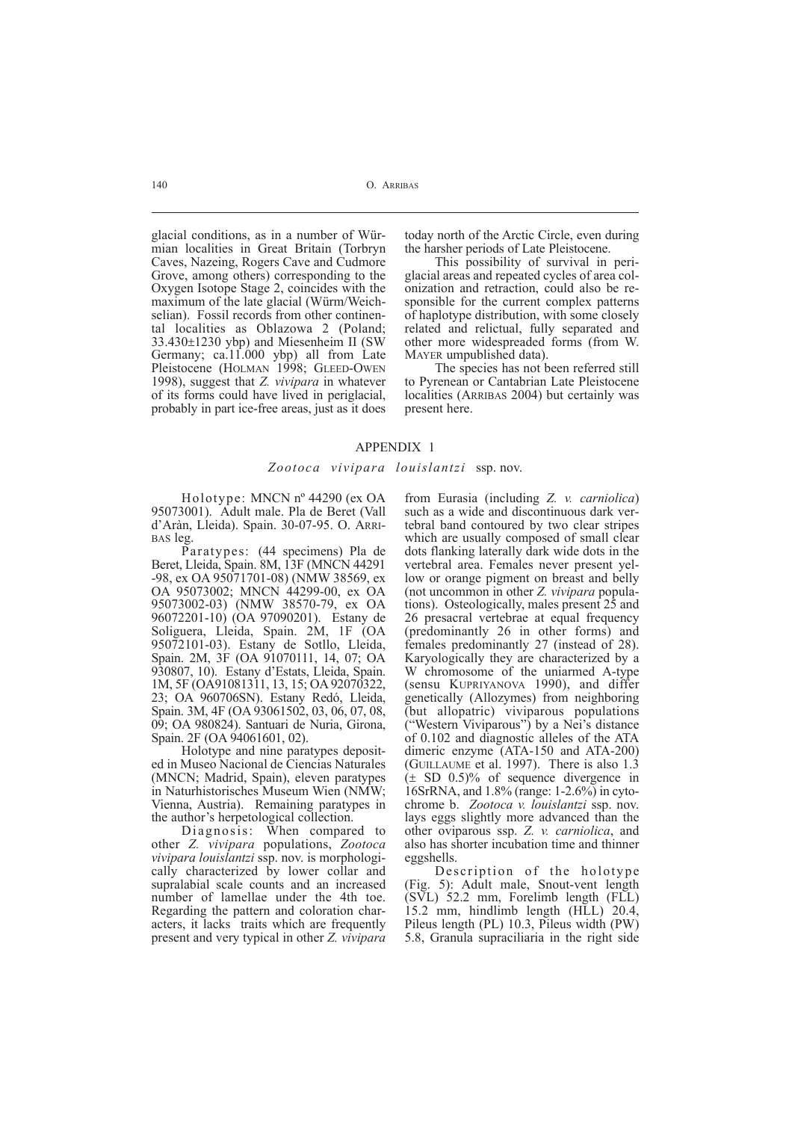glacial conditions, as in a number of Würmian localities in Great Britain (Torbryn Caves, Nazeing, Rogers Cave and Cudmore Grove, among others) corresponding to the Oxygen Isotope Stage 2, coincides with the maximum of the late glacial (Würm/Weichselian). Fossil records from other continental localities as Oblazowa 2 (Poland; 33.430±1230 ybp) and Miesenheim II (SW Germany; ca.11.000 ybp) all from Late Pleistocene (HOLMAN 1998; GLEED-OWEN 1998), suggest that *Z. vivipara* in whatever of its forms could have lived in periglacial, probably in part ice-free areas, just as it does

today north of the Arctic Circle, even during the harsher periods of Late Pleistocene.

This possibility of survival in periglacial areas and repeated cycles of area colonization and retraction, could also be responsible for the current complex patterns of haplotype distribution, with some closely related and relictual, fully separated and other more widespreaded forms (from W. MAYER umpublished data).

The species has not been referred still to Pyrenean or Cantabrian Late Pleistocene localities (ARRIBAS 2004) but certainly was present here.

#### APPENDIX 1

#### *Zootoca vivipara louislantzi* ssp. nov.

Holotype: MNCN nº 44290 (ex OA 95073001). Adult male. Pla de Beret (Vall d'Aràn, Lleida). Spain. 30-07-95. O. ARRI- BAS leg.

Paratypes: (44 specimens) Pla de Beret, Lleida, Spain. 8M, 13F (MNCN 44291 -98, ex OA 95071701-08) (NMW 38569, ex OA 95073002; MNCN 44299-00, ex OA 95073002-03) (NMW 38570-79, ex OA 96072201-10) (OA 97090201). Estany de Soliguera, Lleida, Spain. 2M, 1F (OA 95072101-03). Estany de Sotllo, Lleida, Spain. 2M, 3F (OA 91070111, 14, 07; OA 930807, 10). Estany d'Estats, Lleida, Spain. 1M, 5F (OA91081311, 13, 15; OA 92070322, 23; OA 960706SN). Estany Redó, Lleida, Spain. 3M, 4F (OA 93061502, 03, 06, 07, 08, 09; OA 980824). Santuari de Nuria, Girona, Spain. 2F (OA 94061601, 02).

Holotype and nine paratypes deposited in Museo Nacional de Ciencias Naturales (MNCN; Madrid, Spain), eleven paratypes in Naturhistorisches Museum Wien (NMW; Vienna, Austria). Remaining paratypes in the author's herpetological collection.

Diagnosis: When compared to other *Z. vivipara* populations, *Zootoca vivipara louislantzi* ssp. nov. is morphologically characterized by lower collar and supralabial scale counts and an increased number of lamellae under the 4th toe. Regarding the pattern and coloration characters, it lacks traits which are frequently present and very typical in other *Z. vivipara*

from Eurasia (including *Z. v. carniolica*) such as a wide and discontinuous dark vertebral band contoured by two clear stripes which are usually composed of small clear dots flanking laterally dark wide dots in the vertebral area. Females never present yellow or orange pigment on breast and belly (not uncommon in other *Z. vivipara* populations). Osteologically, males present 25 and 26 presacral vertebrae at equal frequency (predominantly 26 in other forms) and females predominantly 27 (instead of 28). Karyologically they are characterized by a W chromosome of the uniarmed A-type (sensu KUPRIYANOVA 1990), and differ genetically (Allozymes) from neighboring (but allopatric) viviparous populations ("Western Viviparous") by a Nei's distance of 0.102 and diagnostic alleles of the ATA dimeric enzyme (ATA-150 and ATA-200) (GUILLAUME et al. 1997). There is also 1.3 (± SD 0.5)% of sequence divergence in 16SrRNA, and 1.8% (range: 1-2.6%) in cytochrome b. *Zootoca v. louislantzi* ssp. nov. lays eggs slightly more advanced than the other oviparous ssp. *Z. v. carniolica*, and also has shorter incubation time and thinner eggshells.

Description of the holotype (Fig. 5): Adult male, Snout-vent length (SVL) 52.2 mm, Forelimb length (FLL) 15.2 mm, hindlimb length (HLL) 20.4, Pileus length (PL) 10.3, Pileus width (PW) 5.8, Granula supraciliaria in the right side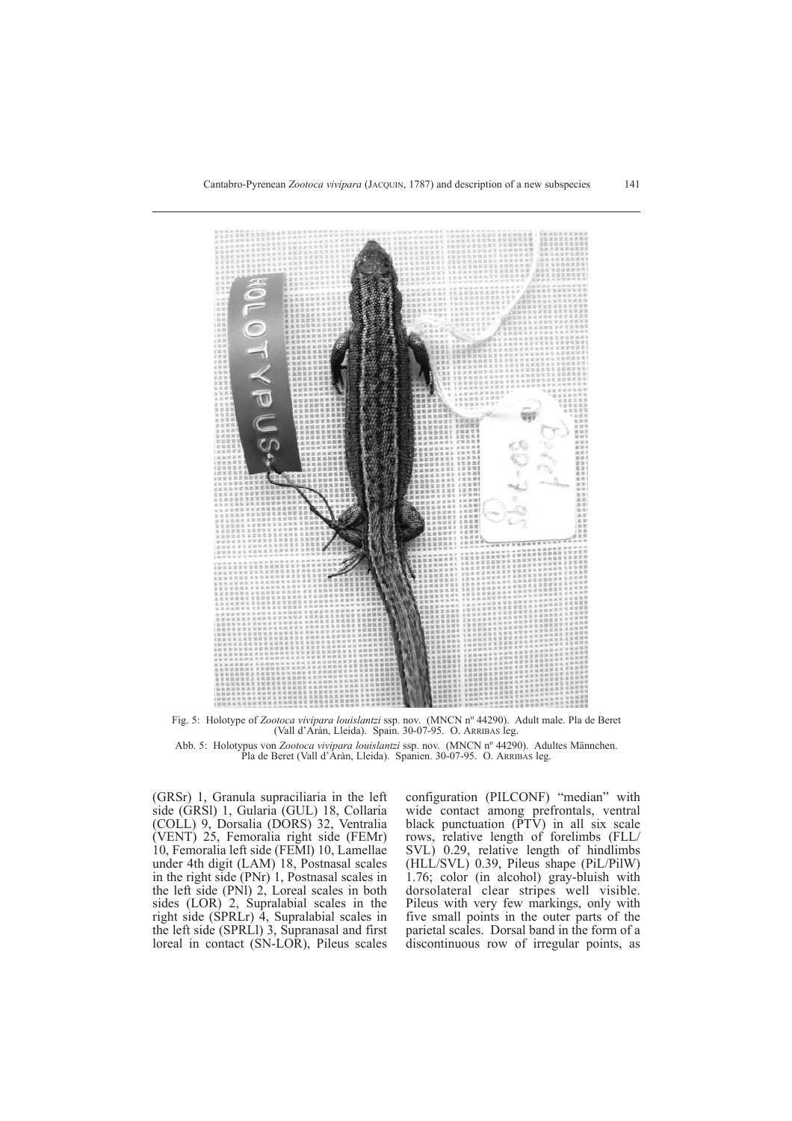

Fig. 5: Holotype of *Zootoca vivipara louislantzi* ssp. nov. (MNCN nº 44290). Adult male. Pla de Beret (Vall d'Aràn, Lleida). Spain. 30-07-95. O. ARRIBAS leg.

Abb. 5: Holotypus von *Zootoca vivipara louislantzi* ssp. nov. (MNCN nº 44290). Adultes Männchen. Pla de Beret (Vall d'Aràn, Lleida). Spanien. 30-07-95. O. ARRIBAS leg.

(GRSr) 1, Granula supraciliaria in the left side (GRSl) 1, Gularia (GUL) 18, Collaria (COLL) 9, Dorsalia (DORS) 32, Ventralia (VENT) 25, Femoralia right side (FEMr) 10, Femoralia left side (FEMl) 10, Lamellae under 4th digit (LAM) 18, Postnasal scales in the right side (PNr) 1, Postnasal scales in the left side (PNl) 2, Loreal scales in both sides (LOR) 2, Supralabial scales in the right side (SPRLr) 4, Supralabial scales in the left side (SPRLl) 3, Supranasal and first loreal in contact (SN-LOR), Pileus scales configuration (PILCONF) "median" with wide contact among prefrontals, ventral black punctuation  $(PTV)$  in all six scale rows, relative length of forelimbs (FLL/ SVL) 0.29, relative length of hindlimbs (HLL/SVL) 0.39, Pileus shape (PiL/PilW) 1.76; color (in alcohol) gray-bluish with dorsolateral clear stripes well visible. Pileus with very few markings, only with five small points in the outer parts of the parietal scales. Dorsal band in the form of a discontinuous row of irregular points, as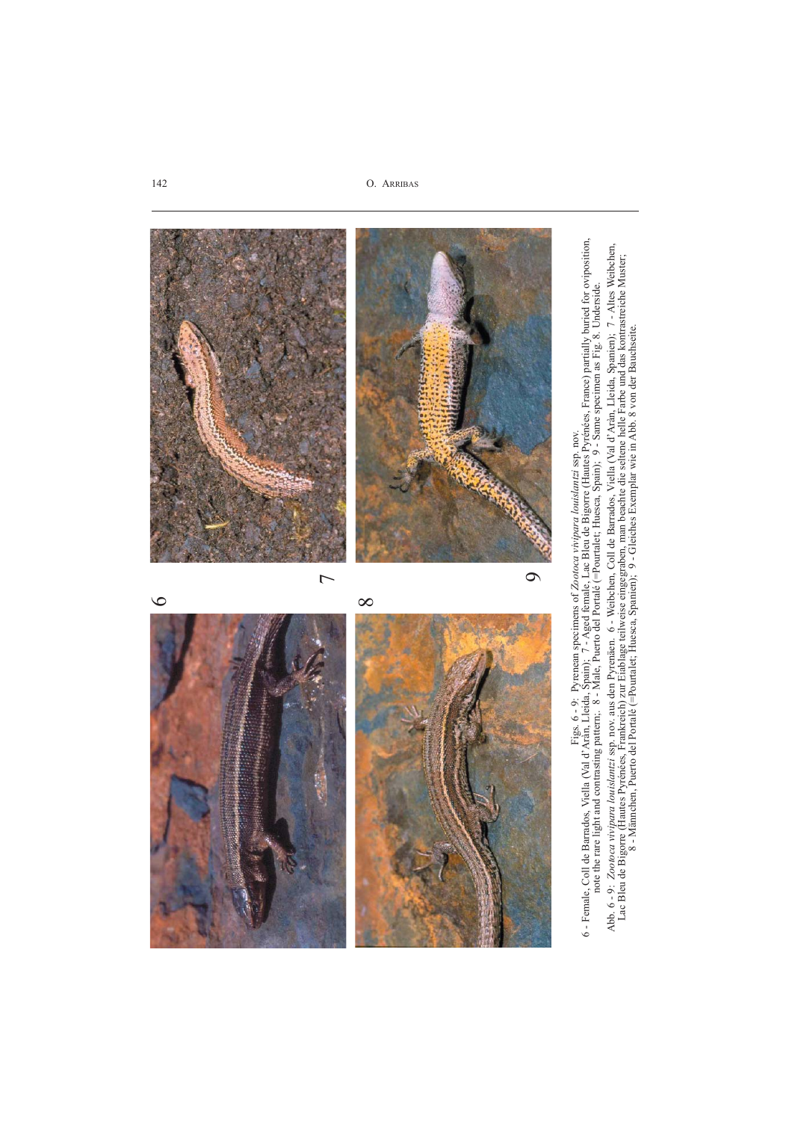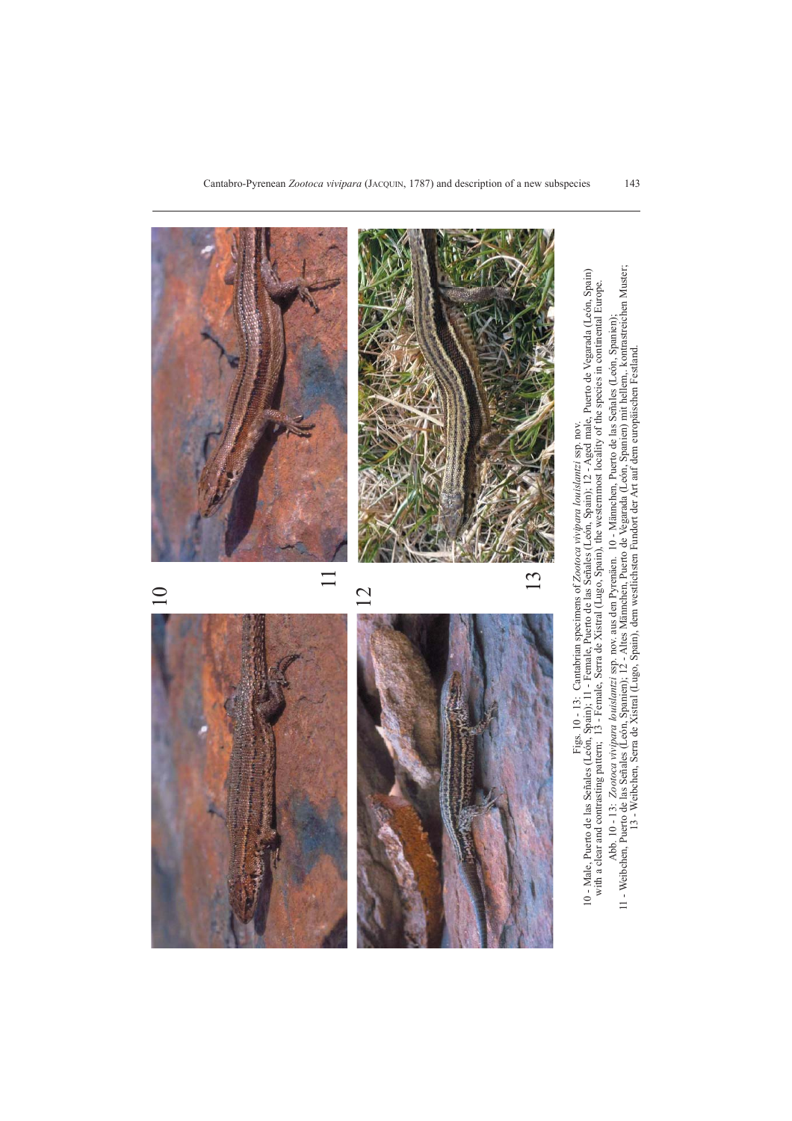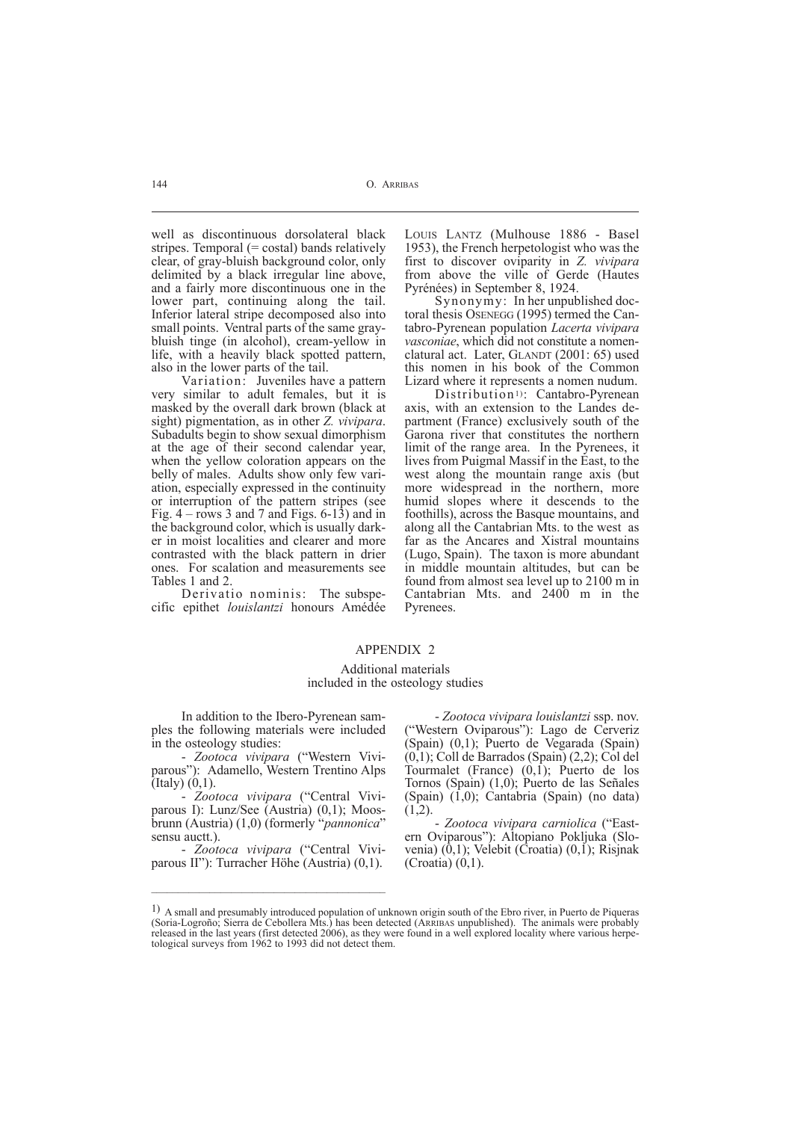well as discontinuous dorsolateral black stripes. Temporal  $(= costal)$  bands relatively clear, of gray-bluish background color, only delimited by a black irregular line above, and a fairly more discontinuous one in the lower part, continuing along the tail. Inferior lateral stripe decomposed also into small points. Ventral parts of the same graybluish tinge (in alcohol), cream-yellow in life, with a heavily black spotted pattern, also in the lower parts of the tail.

Variation: Juveniles have a pattern very similar to adult females, but it is masked by the overall dark brown (black at sight) pigmentation, as in other *Z. vivipara*. Subadults begin to show sexual dimorphism at the age of their second calendar year, when the yellow coloration appears on the belly of males. Adults show only few variation, especially expressed in the continuity or interruption of the pattern stripes (see Fig.  $4 - rows 3$  and 7 and Figs. 6-13) and in the background color, which is usually darker in moist localities and clearer and more contrasted with the black pattern in drier ones. For scalation and measurements see Tables 1 and 2.

Derivatio nominis: The subspecific epithet *louislantzi* honours Amédée LOUIS LANTZ (Mulhouse 1886 - Basel 1953), the French herpetologist who was the first to discover oviparity in *Z. vivipara* from above the ville of Gerde (Hautes Pyrénées) in September 8, 1924.

Synonymy: In her unpublished doctoral thesis OSENEGG (1995) termed the Cantabro-Pyrenean population *Lacerta vivipara vasconiae*, which did not constitute a nomenclatural act. Later, GLANDT (2001: 65) used this nomen in his book of the Common Lizard where it represents a nomen nudum.

Distribution<sup>1</sup>): Cantabro-Pyrenean axis, with an extension to the Landes department (France) exclusively south of the Garona river that constitutes the northern limit of the range area. In the Pyrenees, it lives from Puigmal Massif in the East, to the west along the mountain range axis (but more widespread in the northern, more humid slopes where it descends to the foothills), across the Basque mountains, and along all the Cantabrian Mts. to the west as far as the Ancares and Xistral mountains (Lugo, Spain). The taxon is more abundant in middle mountain altitudes, but can be found from almost sea level up to 2100 m in Cantabrian Mts. and 2400 m in the Pyrenees.

# APPENDIX 2

## Additional materials included in the osteology studies

In addition to the Ibero-Pyrenean samples the following materials were included in the osteology studies:

- *Zootoca vivipara* ("Western Viviparous"): Adamello, Western Trentino Alps (Italy) (0,1).

- *Zootoca vivipara* ("Central Viviparous I): Lunz/See (Austria) (0,1); Moosbrunn (Austria) (1,0) (formerly "*pannonica*" sensu auctt.).

- *Zootoca vivipara* ("Central Viviparous II"): Turracher Höhe (Austria) (0,1).

- *Zootoca vivipara louislantzi* ssp. nov. ("Western Oviparous"): Lago de Cerveriz (Spain) (0,1); Puerto de Vegarada (Spain) (0,1); Coll de Barrados (Spain) (2,2); Col del Tourmalet (France)  $(0,1)$ ; Puerto de los Tornos (Spain) (1,0); Puerto de las Señales (Spain) (1,0); Cantabria (Spain) (no data)  $(1,2)$ .

- *Zootoca vivipara carniolica* ("Eastern Oviparous"): Altopiano Pokljuka (Slovenia)  $(0,1)$ ; Velebit (Croatia)  $(0,1)$ ; Risjnak (Croatia) (0,1).

<sup>1)</sup> A small and presumably introduced population of unknown origin south of the Ebro river, in Puerto de Piqueras (Soria-Logroño; Sierra de Cebollera Mts.) has been detected (ARRIBAS unpublished). The animals were probably released in the last years (first detected 2006), as they were found in a well explored locality where various herpetological surveys from 1962 to 1993 did not detect them.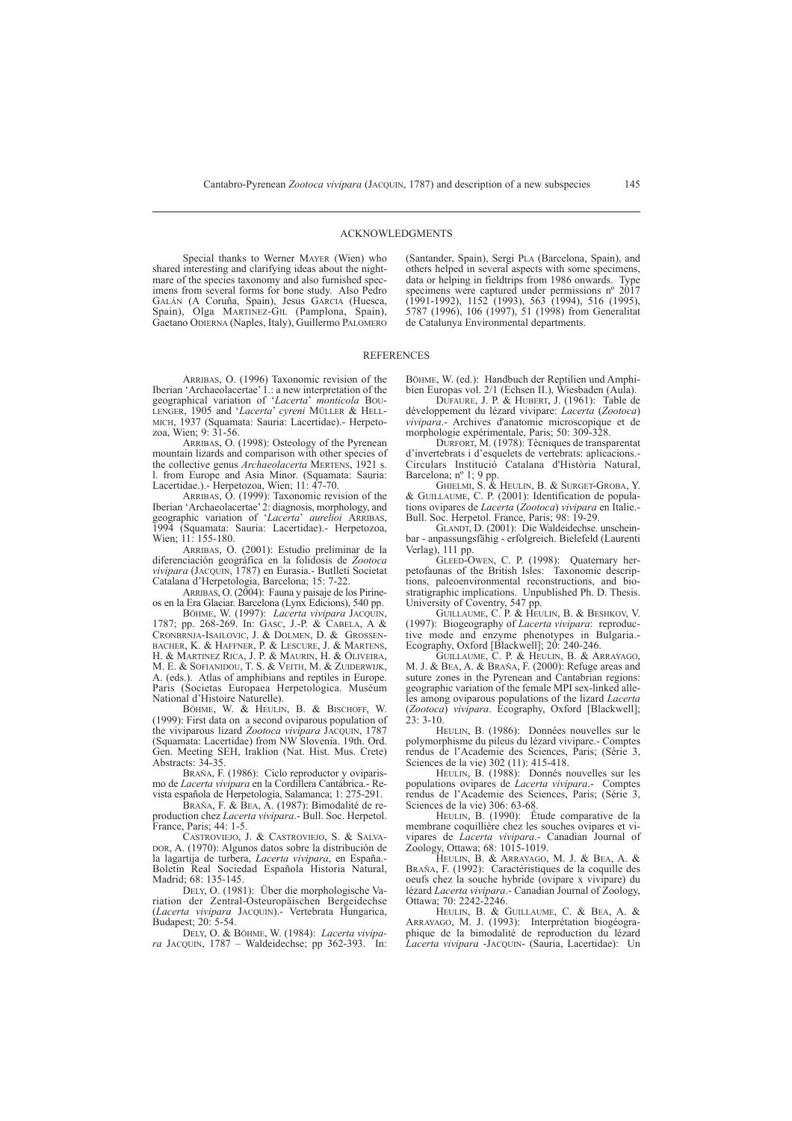#### ACKNOWLEDGMENTS

Special thanks to Werner MAYER (Wien) who shared interesting and clarifying ideas about the nightmare of the species taxonomy and also furnished specimens from several forms for bone study. Also Pedro GALÁN (A Coruña, Spain), Jesus GARCIA (Huesca, Spain), Olga MARTINEZ-GIL (Pamplona, Spain), Gaetano ODIERNA (Naples, Italy), Guillermo PALOMERO

(Santander, Spain), Sergi PLA (Barcelona, Spain), and others helped in several aspects with some specimens, data or helping in fieldtrips from 1986 onwards. Type specimens were captured under permissions nº 2017 (1991-1992), 1152 (1993), 563 (1994), 516 (1995), 5787 (1996), 106 (1997), 51 (1998) from Generalitat de Catalunya Environmental departments.

#### **REFERENCES**

ARRIBAS, O. (1996) Taxonomic revision of the Iberian 'Archaeolacertae' 1.: a new interpretation of the geographical variation of '*Lacerta*' *monticola* BOU-LENGER, 1905 and '*Lacerta*' *cyreni* MÜLLER & HELL-MICH, 1937 (Squamata: Sauria: Lacertidae).- Herpetozoa, Wien; 9: 31-56.

ARRIBAS, O. (1998): Osteology of the Pyrenean mountain lizards and comparison with other species of the collective genus *Archaeolacerta* MERTENS, 1921 s. l. from Europe and Asia Minor. (Squamata: Sauria: Lacertidae.).- Herpetozoa, Wien; 11: 47-70.

ARRIBAS, O. (1999): Taxonomic revision of the Iberian 'Archaeolacertae' 2: diagnosis, morphology, and geographic variation of '*Lacerta*' *aurelioi* ARRIBAS, 1994 (Squamata: Sauria: Lacertidae).- Herpetozoa, Wien; 11: 155-180.

ARRIBAS, O. (2001): Estudio preliminar de la diferenciación geográfica en la folidosis de *Zootoca vivipara* (JACQUIN, 1787) en Eurasia.- Butlletí Societat Catalana d'Herpetologia, Barcelona; 15: 7-22.

ARRIBAS, O. (2004): Fauna y paisaje de los Pirineos en la Era Glaciar. Barcelona (Lynx Edicions), 540 pp.

BÖHME, W. (1997): *Lacerta vivipara* JACQUIN, 1787; pp. 268-269. In: GASC, J.-P. & CABELA, A & CRONBRNJA-ISAILOVIC, J. & DOLMEN, D. & GROSSEN-BACHER, K. & HAFFNER, P. & LESCURE, J. & MARTENS, H. & MARTINEZ RICA, J. P. & MAURIN, H. & OLIVEIRA, M. E. & SOFIANIDOU, T. S. & VEITH, M. & ZUIDERWIJK, A. (eds.). Atlas of amphibians and reptiles in Europe. Paris (Societas Europaea Herpetologica. Muséum National d'Histoire Naturelle).

BÖHME, W. & HEULIN, B. & BISCHOFF, W. (1999): First data on a second oviparous population of the viviparous lizard *Zootoca vivipara* JACQUIN, 1787 (Squamata: Lacertidae) from NW Slovenia. 19th. Ord. Gen. Meeting SEH, Iraklion (Nat. Hist. Mus. Crete) Abstracts: 34-35.

BRAÑA, F. (1986): Ciclo reproductor y oviparismo de *Lacerta vivipara* en la Cordillera Cantábrica.- Revista española de Herpetología, Salamanca; 1: 275-291.

BRAÑA, F. & BEA, A. (1987): Bimodalité de reproduction chez *Lacerta vivipara*.- Bull. Soc. Herpetol.

France, Paris; 44: 1-5.<br>CASTROVIEJO, J. & CASTROVIEJO, S. & SALVA-DOR, A. (1970): Algunos datos sobre la distribución de la lagartija de turbera, *Lacerta vivipara*, en España.- Boletín Real Sociedad Española Historia Natural, Madrid; 68: 135-145.

DELY, O. (1981): Über die morphologische Variation der Zentral-Osteuropäischen Bergeidechse (*Lacerta vivipara* JACQUIN).- Vertebrata Hungarica, Budapest; 20: 5-54.

DELY, O. & BÖHME, W. (1984): *Lacerta vivipara* JACQUIN, 1787 – Waldeidechse; pp 362-393. In:

BÖHME, W. (ed.): Handbuch der Reptilien und Amphibien Europas vol. 2/1 (Echsen II.), Wiesbaden (Aula).

DUFAURE, J. P. & HUBERT, J. (1961): Table de développement du lézard vivipare: *Lacerta* (*Zootoca*) *vivipara*.- Archives d'anatomie microscopique et de morphologie expérimentale, Paris; 50: 309-328.

DURFORT, M. (1978): Tècniques de transparentat d'invertebrats i d'esquelets de vertebrats: aplicacions.- Circulars Institució Catalana d'Història Natural, Barcelona; nº 1; 9 pp.

GHIELMI, S. & HEULIN, B. & SURGET-GROBA, Y. & GUILLAUME, C. P. (2001): Identification de populations ovipares de *Lacerta* (*Zootoca*) *vivipara* en Italie.- Bull. Soc. Herpetol. France, Paris; 98: 19-29.

GLANDT, D. (2001): Die Waldeidechse. unscheinbar - anpassungsfähig - erfolgreich. Bielefeld (Laurenti Verlag), 111 pp.

GLEED-OWEN, C. P. (1998): Quaternary herpetofaunas of the British Isles: Taxonomic descriptions, paleoenvironmental reconstructions, and biostratigraphic implications. Unpublished Ph. D. Thesis. University of Coventry, 547 pp.

GUILLAUME, C. P. & HEULIN, B. & BESHKOV, V. (1997): Biogeography of *Lacerta vivipara*: reproductive mode and enzyme phenotypes in Bulgaria.- Ecography, Oxford [Blackwell]; 20: 240-246.

GUILLAUME, C. P. & HEULIN, B. & ARRAYAGO, M. J. & BEA, A. & BRAÑA, F. (2000): Refuge areas and suture zones in the Pyrenean and Cantabrian regions: geographic variation of the female MPI sex-linked alleles among oviparous populations of the lizard *Lacerta* (*Zootoca*) *vivipara*. Ecography, Oxford [Blackwell];  $23: 3 - 10.$ 

HEULIN, B. (1986): Données nouvelles sur le polymorphisme du pileus du lézard vivipare.- Comptes rendus de l'Academie des Sciences, Paris; (Série 3, Sciences de la vie) 302 (11): 415-418.

HEULIN, B. (1988): Donnés nouvelles sur les populations ovipares de *Lacerta vivipara*.- Comptes rendus de l'Academie des Sciences, Paris; (Série 3, Sciences de la vie) 306: 63-68.

HEULIN, B. (1990): Étude comparative de la membrane coquillière chez les souches ovipares et vivipares de *Lacerta vivipara*.- Canadian Journal of Zoology, Ottawa; 68: 1015-1019.

HEULIN, B. & ARRAYAGO, M. J. & BEA, A. & BRAÑA, F. (1992): Caractéristiques de la coquille des oeufs chez la souche hybride (ovipare x vivipare) du lézard *Lacerta vivipara*.- Canadian Journal of Zoology, Ottawa; 70: 2242-2246.

HEULIN, B. & GUILLAUME, C. & BEA, A. & ARRAYAGO, M. J. (1993): Interprétation biogéographique de la bimodalité de reproduction du lézard *Lacerta vivipara* -JACQUIN- (Sauria, Lacertidae): Un